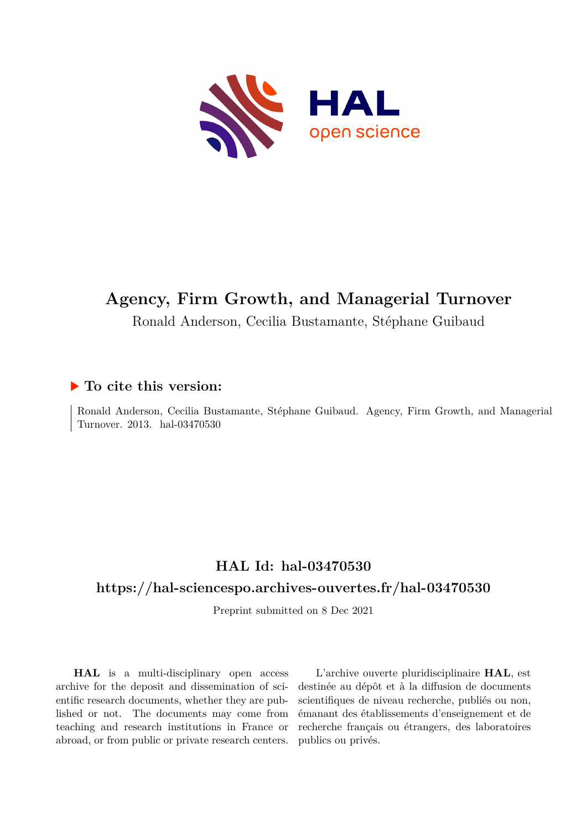

# **Agency, Firm Growth, and Managerial Turnover**

Ronald Anderson, Cecilia Bustamante, Stéphane Guibaud

## **To cite this version:**

Ronald Anderson, Cecilia Bustamante, Stéphane Guibaud. Agency, Firm Growth, and Managerial Turnover. 2013. hal-03470530

# **HAL Id: hal-03470530**

## **<https://hal-sciencespo.archives-ouvertes.fr/hal-03470530>**

Preprint submitted on 8 Dec 2021

**HAL** is a multi-disciplinary open access archive for the deposit and dissemination of scientific research documents, whether they are published or not. The documents may come from teaching and research institutions in France or abroad, or from public or private research centers.

L'archive ouverte pluridisciplinaire **HAL**, est destinée au dépôt et à la diffusion de documents scientifiques de niveau recherche, publiés ou non, émanant des établissements d'enseignement et de recherche français ou étrangers, des laboratoires publics ou privés.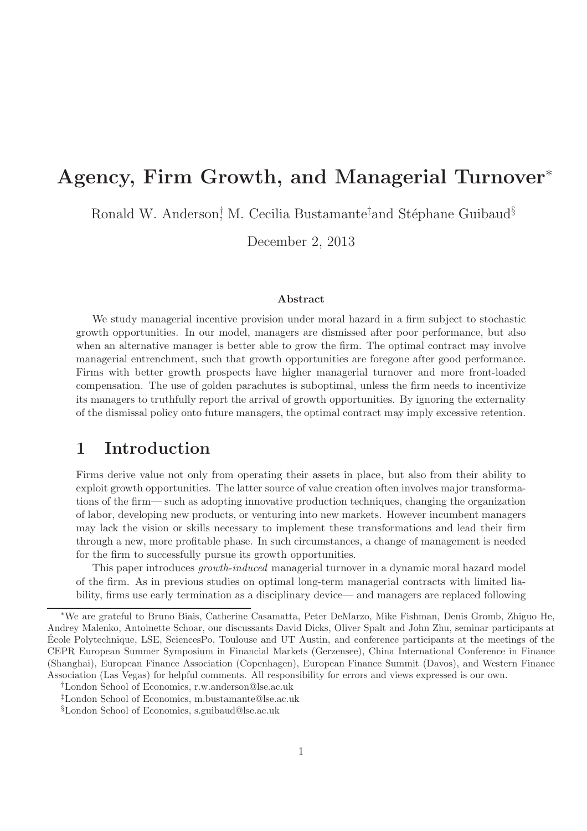# Agency, Firm Growth, and Managerial Turnover<sup>∗</sup>

Ronald W. Anderson<sup>†</sup> M. Cecilia Bustamante<sup>‡</sup>and Stéphane Guibaud<sup>§</sup>

December 2, 2013

#### Abstract

We study managerial incentive provision under moral hazard in a firm subject to stochastic growth opportunities. In our model, managers are dismissed after poor performance, but also when an alternative manager is better able to grow the firm. The optimal contract may involve managerial entrenchment, such that growth opportunities are foregone after good performance. Firms with better growth prospects have higher managerial turnover and more front-loaded compensation. The use of golden parachutes is suboptimal, unless the firm needs to incentivize its managers to truthfully report the arrival of growth opportunities. By ignoring the externality of the dismissal policy onto future managers, the optimal contract may imply excessive retention.

# 1 Introduction

Firms derive value not only from operating their assets in place, but also from their ability to exploit growth opportunities. The latter source of value creation often involves major transformations of the firm— such as adopting innovative production techniques, changing the organization of labor, developing new products, or venturing into new markets. However incumbent managers may lack the vision or skills necessary to implement these transformations and lead their firm through a new, more profitable phase. In such circumstances, a change of management is needed for the firm to successfully pursue its growth opportunities.

This paper introduces *growth-induced* managerial turnover in a dynamic moral hazard model of the firm. As in previous studies on optimal long-term managerial contracts with limited liability, firms use early termination as a disciplinary device— and managers are replaced following

<sup>∗</sup>We are grateful to Bruno Biais, Catherine Casamatta, Peter DeMarzo, Mike Fishman, Denis Gromb, Zhiguo He, Andrey Malenko, Antoinette Schoar, our discussants David Dicks, Oliver Spalt and John Zhu, seminar participants at Ecole Polytechnique, LSE, SciencesPo, Toulouse and UT Austin, and ´ conference participants at the meetings of the CEPR European Summer Symposium in Financial Markets (Gerzensee), China International Conference in Finance (Shanghai), European Finance Association (Copenhagen), European Finance Summit (Davos), and Western Finance Association (Las Vegas) for helpful comments. All responsibility for errors and views expressed is our own.

<sup>†</sup>London School of Economics, r.w.anderson@lse.ac.uk

<sup>‡</sup>London School of Economics, m.bustamante@lse.ac.uk

<sup>§</sup>London School of Economics, s.guibaud@lse.ac.uk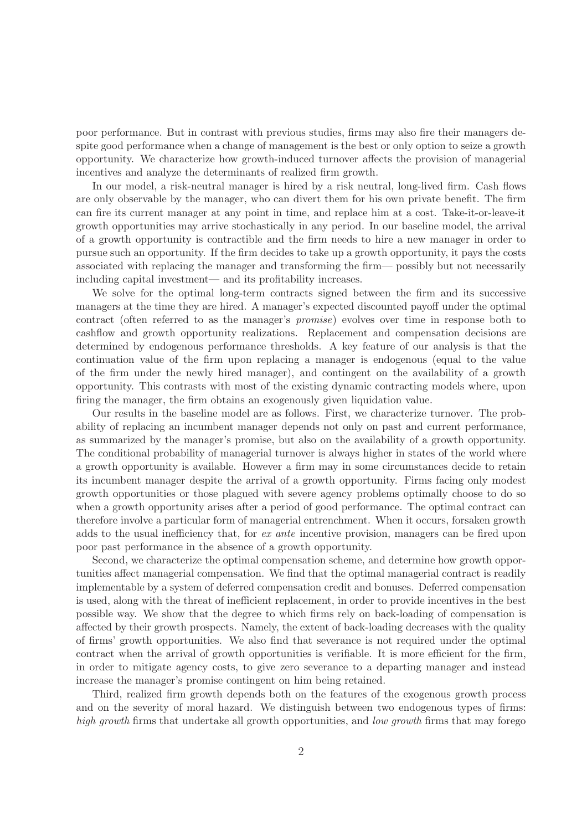poor performance. But in contrast with previous studies, firms may also fire their managers despite good performance when a change of management is the best or only option to seize a growth opportunity. We characterize how growth-induced turnover affects the provision of managerial incentives and analyze the determinants of realized firm growth.

In our model, a risk-neutral manager is hired by a risk neutral, long-lived firm. Cash flows are only observable by the manager, who can divert them for his own private benefit. The firm can fire its current manager at any point in time, and replace him at a cost. Take-it-or-leave-it growth opportunities may arrive stochastically in any period. In our baseline model, the arrival of a growth opportunity is contractible and the firm needs to hire a new manager in order to pursue such an opportunity. If the firm decides to take up a growth opportunity, it pays the costs associated with replacing the manager and transforming the firm— possibly but not necessarily including capital investment— and its profitability increases.

We solve for the optimal long-term contracts signed between the firm and its successive managers at the time they are hired. A manager's expected discounted payoff under the optimal contract (often referred to as the manager's *promise*) evolves over time in response both to cashflow and growth opportunity realizations. Replacement and compensation decisions are determined by endogenous performance thresholds. A key feature of our analysis is that the continuation value of the firm upon replacing a manager is endogenous (equal to the value of the firm under the newly hired manager), and contingent on the availability of a growth opportunity. This contrasts with most of the existing dynamic contracting models where, upon firing the manager, the firm obtains an exogenously given liquidation value.

Our results in the baseline model are as follows. First, we characterize turnover. The probability of replacing an incumbent manager depends not only on past and current performance, as summarized by the manager's promise, but also on the availability of a growth opportunity. The conditional probability of managerial turnover is always higher in states of the world where a growth opportunity is available. However a firm may in some circumstances decide to retain its incumbent manager despite the arrival of a growth opportunity. Firms facing only modest growth opportunities or those plagued with severe agency problems optimally choose to do so when a growth opportunity arises after a period of good performance. The optimal contract can therefore involve a particular form of managerial entrenchment. When it occurs, forsaken growth adds to the usual inefficiency that, for *ex ante* incentive provision, managers can be fired upon poor past performance in the absence of a growth opportunity.

Second, we characterize the optimal compensation scheme, and determine how growth opportunities affect managerial compensation. We find that the optimal managerial contract is readily implementable by a system of deferred compensation credit and bonuses. Deferred compensation is used, along with the threat of inefficient replacement, in order to provide incentives in the best possible way. We show that the degree to which firms rely on back-loading of compensation is affected by their growth prospects. Namely, the extent of back-loading decreases with the quality of firms' growth opportunities. We also find that severance is not required under the optimal contract when the arrival of growth opportunities is verifiable. It is more efficient for the firm, in order to mitigate agency costs, to give zero severance to a departing manager and instead increase the manager's promise contingent on him being retained.

Third, realized firm growth depends both on the features of the exogenous growth process and on the severity of moral hazard. We distinguish between two endogenous types of firms: *high growth* firms that undertake all growth opportunities, and *low growth* firms that may forego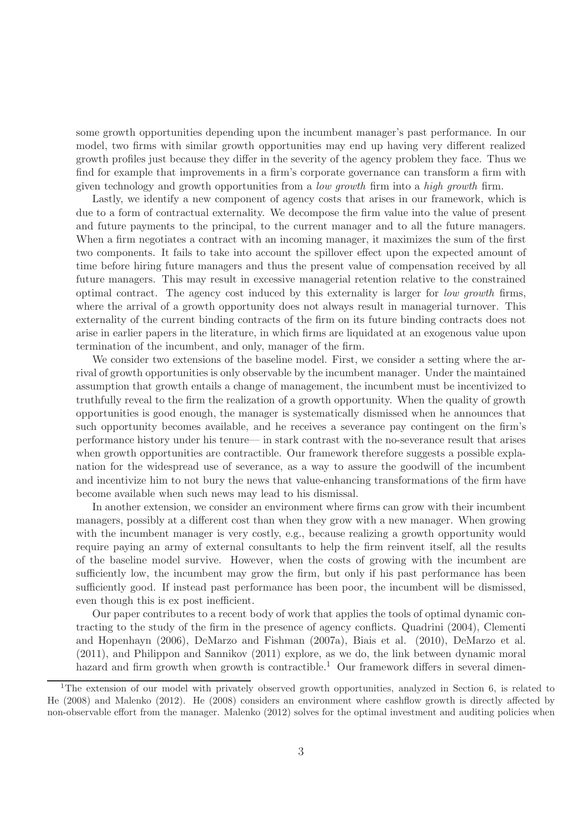some growth opportunities depending upon the incumbent manager's past performance. In our model, two firms with similar growth opportunities may end up having very different realized growth profiles just because they differ in the severity of the agency problem they face. Thus we find for example that improvements in a firm's corporate governance can transform a firm with given technology and growth opportunities from a *low growth* firm into a *high growth* firm.

Lastly, we identify a new component of agency costs that arises in our framework, which is due to a form of contractual externality. We decompose the firm value into the value of present and future payments to the principal, to the current manager and to all the future managers. When a firm negotiates a contract with an incoming manager, it maximizes the sum of the first two components. It fails to take into account the spillover effect upon the expected amount of time before hiring future managers and thus the present value of compensation received by all future managers. This may result in excessive managerial retention relative to the constrained optimal contract. The agency cost induced by this externality is larger for *low growth* firms, where the arrival of a growth opportunity does not always result in managerial turnover. This externality of the current binding contracts of the firm on its future binding contracts does not arise in earlier papers in the literature, in which firms are liquidated at an exogenous value upon termination of the incumbent, and only, manager of the firm.

We consider two extensions of the baseline model. First, we consider a setting where the arrival of growth opportunities is only observable by the incumbent manager. Under the maintained assumption that growth entails a change of management, the incumbent must be incentivized to truthfully reveal to the firm the realization of a growth opportunity. When the quality of growth opportunities is good enough, the manager is systematically dismissed when he announces that such opportunity becomes available, and he receives a severance pay contingent on the firm's performance history under his tenure— in stark contrast with the no-severance result that arises when growth opportunities are contractible. Our framework therefore suggests a possible explanation for the widespread use of severance, as a way to assure the goodwill of the incumbent and incentivize him to not bury the news that value-enhancing transformations of the firm have become available when such news may lead to his dismissal.

In another extension, we consider an environment where firms can grow with their incumbent managers, possibly at a different cost than when they grow with a new manager. When growing with the incumbent manager is very costly, e.g., because realizing a growth opportunity would require paying an army of external consultants to help the firm reinvent itself, all the results of the baseline model survive. However, when the costs of growing with the incumbent are sufficiently low, the incumbent may grow the firm, but only if his past performance has been sufficiently good. If instead past performance has been poor, the incumbent will be dismissed, even though this is ex post inefficient.

Our paper contributes to a recent body of work that applies the tools of optimal dynamic contracting to the study of the firm in the presence of agency conflicts. Quadrini (2004), Clementi and Hopenhayn (2006), DeMarzo and Fishman (2007a), Biais et al. (2010), DeMarzo et al. (2011), and Philippon and Sannikov (2011) explore, as we do, the link between dynamic moral hazard and firm growth when growth is contractible.<sup>1</sup> Our framework differs in several dimen-

<sup>&</sup>lt;sup>1</sup>The extension of our model with privately observed growth opportunities, analyzed in Section 6, is related to He (2008) and Malenko (2012). He (2008) considers an environment where cashflow growth is directly affected by non-observable effort from the manager. Malenko (2012) solves for the optimal investment and auditing policies when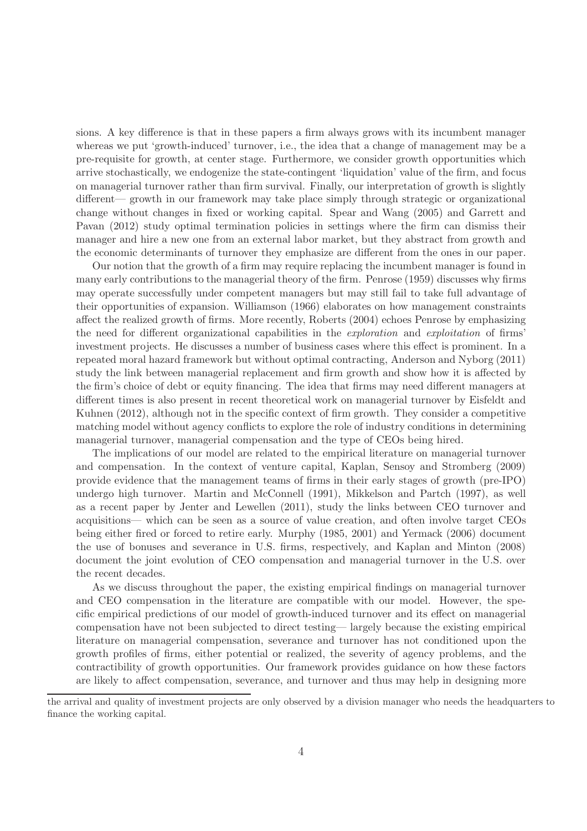sions. A key difference is that in these papers a firm always grows with its incumbent manager whereas we put 'growth-induced' turnover, i.e., the idea that a change of management may be a pre-requisite for growth, at center stage. Furthermore, we consider growth opportunities which arrive stochastically, we endogenize the state-contingent 'liquidation' value of the firm, and focus on managerial turnover rather than firm survival. Finally, our interpretation of growth is slightly different— growth in our framework may take place simply through strategic or organizational change without changes in fixed or working capital. Spear and Wang (2005) and Garrett and Pavan (2012) study optimal termination policies in settings where the firm can dismiss their manager and hire a new one from an external labor market, but they abstract from growth and the economic determinants of turnover they emphasize are different from the ones in our paper.

Our notion that the growth of a firm may require replacing the incumbent manager is found in many early contributions to the managerial theory of the firm. Penrose (1959) discusses why firms may operate successfully under competent managers but may still fail to take full advantage of their opportunities of expansion. Williamson (1966) elaborates on how management constraints affect the realized growth of firms. More recently, Roberts (2004) echoes Penrose by emphasizing the need for different organizational capabilities in the *exploration* and *exploitation* of firms' investment projects. He discusses a number of business cases where this effect is prominent. In a repeated moral hazard framework but without optimal contracting, Anderson and Nyborg (2011) study the link between managerial replacement and firm growth and show how it is affected by the firm's choice of debt or equity financing. The idea that firms may need different managers at different times is also present in recent theoretical work on managerial turnover by Eisfeldt and Kuhnen (2012), although not in the specific context of firm growth. They consider a competitive matching model without agency conflicts to explore the role of industry conditions in determining managerial turnover, managerial compensation and the type of CEOs being hired.

The implications of our model are related to the empirical literature on managerial turnover and compensation. In the context of venture capital, Kaplan, Sensoy and Stromberg (2009) provide evidence that the management teams of firms in their early stages of growth (pre-IPO) undergo high turnover. Martin and McConnell (1991), Mikkelson and Partch (1997), as well as a recent paper by Jenter and Lewellen (2011), study the links between CEO turnover and acquisitions— which can be seen as a source of value creation, and often involve target CEOs being either fired or forced to retire early. Murphy (1985, 2001) and Yermack (2006) document the use of bonuses and severance in U.S. firms, respectively, and Kaplan and Minton (2008) document the joint evolution of CEO compensation and managerial turnover in the U.S. over the recent decades.

As we discuss throughout the paper, the existing empirical findings on managerial turnover and CEO compensation in the literature are compatible with our model. However, the specific empirical predictions of our model of growth-induced turnover and its effect on managerial compensation have not been subjected to direct testing— largely because the existing empirical literature on managerial compensation, severance and turnover has not conditioned upon the growth profiles of firms, either potential or realized, the severity of agency problems, and the contractibility of growth opportunities. Our framework provides guidance on how these factors are likely to affect compensation, severance, and turnover and thus may help in designing more

the arrival and quality of investment projects are only observed by a division manager who needs the headquarters to finance the working capital.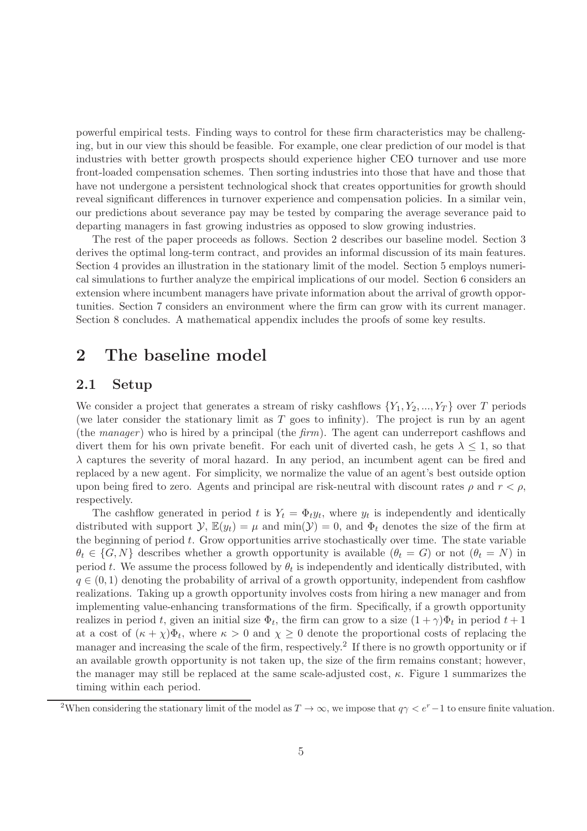powerful empirical tests. Finding ways to control for these firm characteristics may be challenging, but in our view this should be feasible. For example, one clear prediction of our model is that industries with better growth prospects should experience higher CEO turnover and use more front-loaded compensation schemes. Then sorting industries into those that have and those that have not undergone a persistent technological shock that creates opportunities for growth should reveal significant differences in turnover experience and compensation policies. In a similar vein, our predictions about severance pay may be tested by comparing the average severance paid to departing managers in fast growing industries as opposed to slow growing industries.

The rest of the paper proceeds as follows. Section 2 describes our baseline model. Section 3 derives the optimal long-term contract, and provides an informal discussion of its main features. Section 4 provides an illustration in the stationary limit of the model. Section 5 employs numerical simulations to further analyze the empirical implications of our model. Section 6 considers an extension where incumbent managers have private information about the arrival of growth opportunities. Section 7 considers an environment where the firm can grow with its current manager. Section 8 concludes. A mathematical appendix includes the proofs of some key results.

# 2 The baseline model

## 2.1 Setup

We consider a project that generates a stream of risky cashflows  $\{Y_1, Y_2, ..., Y_T\}$  over T periods (we later consider the stationary limit as  $T$  goes to infinity). The project is run by an agent (the *manager* ) who is hired by a principal (the *firm*). The agent can underreport cashflows and divert them for his own private benefit. For each unit of diverted cash, he gets  $\lambda \leq 1$ , so that  $\lambda$  captures the severity of moral hazard. In any period, an incumbent agent can be fired and replaced by a new agent. For simplicity, we normalize the value of an agent's best outside option upon being fired to zero. Agents and principal are risk-neutral with discount rates  $\rho$  and  $r < \rho$ , respectively.

The cashflow generated in period t is  $Y_t = \Phi_t y_t$ , where  $y_t$  is independently and identically distributed with support  $\mathcal{Y}, \mathbb{E}(y_t) = \mu$  and  $\min(\mathcal{Y}) = 0$ , and  $\Phi_t$  denotes the size of the firm at the beginning of period  $t$ . Grow opportunities arrive stochastically over time. The state variable  $\theta_t \in \{G, N\}$  describes whether a growth opportunity is available  $(\theta_t = G)$  or not  $(\theta_t = N)$  in period t. We assume the process followed by  $\theta_t$  is independently and identically distributed, with  $q \in (0, 1)$  denoting the probability of arrival of a growth opportunity, independent from cashflow realizations. Taking up a growth opportunity involves costs from hiring a new manager and from implementing value-enhancing transformations of the firm. Specifically, if a growth opportunity realizes in period t, given an initial size  $\Phi_t$ , the firm can grow to a size  $(1+\gamma)\Phi_t$  in period  $t+1$ at a cost of  $(\kappa + \chi)\Phi_t$ , where  $\kappa > 0$  and  $\chi \geq 0$  denote the proportional costs of replacing the manager and increasing the scale of the firm, respectively.<sup>2</sup> If there is no growth opportunity or if an available growth opportunity is not taken up, the size of the firm remains constant; however, the manager may still be replaced at the same scale-adjusted cost,  $\kappa$ . Figure 1 summarizes the timing within each period.

<sup>&</sup>lt;sup>2</sup>When considering the stationary limit of the model as  $T \to \infty$ , we impose that  $q\gamma < e^r-1$  to ensure finite valuation.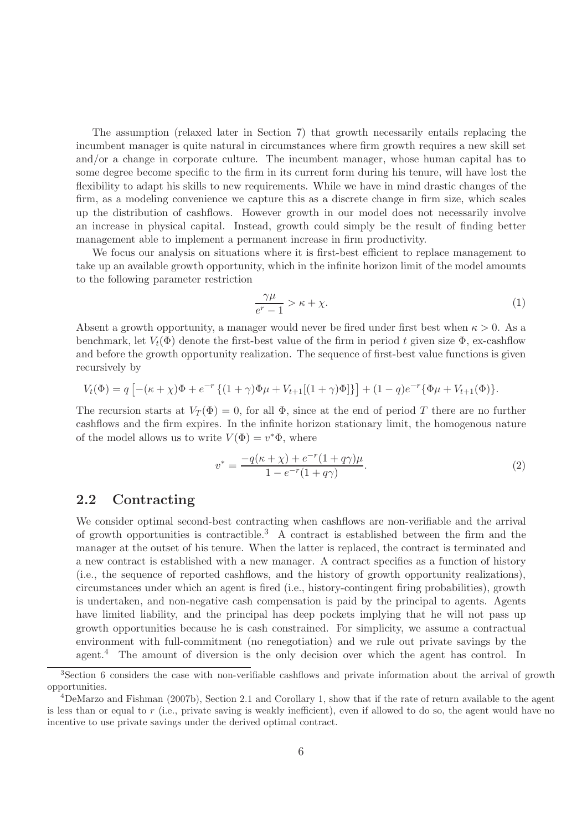The assumption (relaxed later in Section 7) that growth necessarily entails replacing the incumbent manager is quite natural in circumstances where firm growth requires a new skill set and/or a change in corporate culture. The incumbent manager, whose human capital has to some degree become specific to the firm in its current form during his tenure, will have lost the flexibility to adapt his skills to new requirements. While we have in mind drastic changes of the firm, as a modeling convenience we capture this as a discrete change in firm size, which scales up the distribution of cashflows. However growth in our model does not necessarily involve an increase in physical capital. Instead, growth could simply be the result of finding better management able to implement a permanent increase in firm productivity.

We focus our analysis on situations where it is first-best efficient to replace management to take up an available growth opportunity, which in the infinite horizon limit of the model amounts to the following parameter restriction

$$
\frac{\gamma\mu}{e^r - 1} > \kappa + \chi. \tag{1}
$$

Absent a growth opportunity, a manager would never be fired under first best when  $\kappa > 0$ . As a benchmark, let  $V_t(\Phi)$  denote the first-best value of the firm in period t given size  $\Phi$ , ex-cashflow and before the growth opportunity realization. The sequence of first-best value functions is given recursively by

$$
V_t(\Phi) = q \left[ -(\kappa + \chi)\Phi + e^{-r} \left\{ (1 + \gamma)\Phi\mu + V_{t+1}[(1 + \gamma)\Phi] \right\} \right] + (1 - q)e^{-r} \{ \Phi\mu + V_{t+1}(\Phi) \}.
$$

The recursion starts at  $V_T(\Phi) = 0$ , for all  $\Phi$ , since at the end of period T there are no further cashflows and the firm expires. In the infinite horizon stationary limit, the homogenous nature of the model allows us to write  $V(\Phi) = v^* \Phi$ , where

$$
v^* = \frac{-q(\kappa + \chi) + e^{-r}(1 + q\gamma)\mu}{1 - e^{-r}(1 + q\gamma)}.
$$
\n(2)

#### 2.2 Contracting

We consider optimal second-best contracting when cashflows are non-verifiable and the arrival of growth opportunities is contractible.<sup>3</sup> A contract is established between the firm and the manager at the outset of his tenure. When the latter is replaced, the contract is terminated and a new contract is established with a new manager. A contract specifies as a function of history (i.e., the sequence of reported cashflows, and the history of growth opportunity realizations), circumstances under which an agent is fired (i.e., history-contingent firing probabilities), growth is undertaken, and non-negative cash compensation is paid by the principal to agents. Agents have limited liability, and the principal has deep pockets implying that he will not pass up growth opportunities because he is cash constrained. For simplicity, we assume a contractual environment with full-commitment (no renegotiation) and we rule out private savings by the agent.<sup>4</sup> The amount of diversion is the only decision over which the agent has control. In

<sup>3</sup>Section 6 considers the case with non-verifiable cashflows and private information about the arrival of growth opportunities.

 $^{4}$ DeMarzo and Fishman (2007b), Section 2.1 and Corollary 1, show that if the rate of return available to the agent is less than or equal to  $r$  (i.e., private saving is weakly inefficient), even if allowed to do so, the agent would have no incentive to use private savings under the derived optimal contract.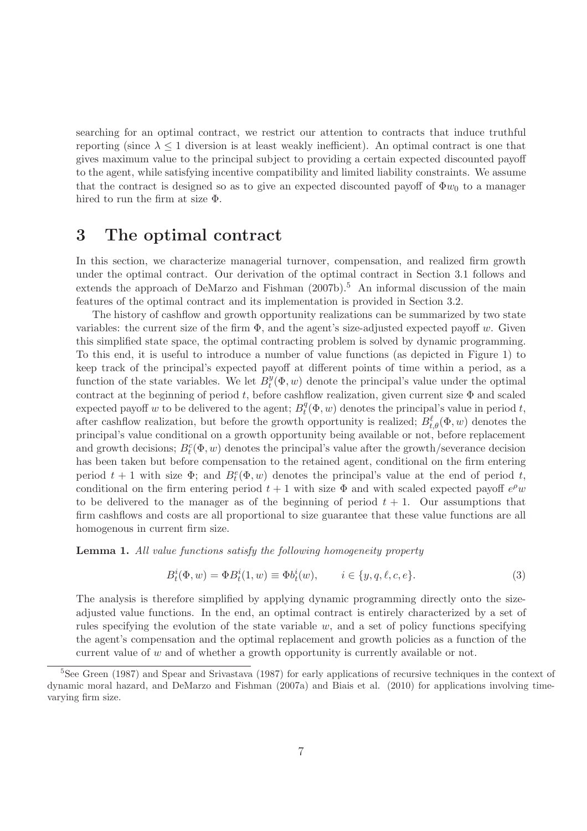searching for an optimal contract, we restrict our attention to contracts that induce truthful reporting (since  $\lambda \leq 1$  diversion is at least weakly inefficient). An optimal contract is one that gives maximum value to the principal subject to providing a certain expected discounted payoff to the agent, while satisfying incentive compatibility and limited liability constraints. We assume that the contract is designed so as to give an expected discounted payoff of  $\Phi w_0$  to a manager hired to run the firm at size Φ.

# 3 The optimal contract

In this section, we characterize managerial turnover, compensation, and realized firm growth under the optimal contract. Our derivation of the optimal contract in Section 3.1 follows and extends the approach of DeMarzo and Fishman  $(2007b)$ .<sup>5</sup> An informal discussion of the main features of the optimal contract and its implementation is provided in Section 3.2.

The history of cashflow and growth opportunity realizations can be summarized by two state variables: the current size of the firm  $\Phi$ , and the agent's size-adjusted expected payoff w. Given this simplified state space, the optimal contracting problem is solved by dynamic programming. To this end, it is useful to introduce a number of value functions (as depicted in Figure 1) to keep track of the principal's expected payoff at different points of time within a period, as a function of the state variables. We let  $B_t^y$  $t(\Phi, w)$  denote the principal's value under the optimal contract at the beginning of period t, before cashflow realization, given current size  $\Phi$  and scaled expected payoff w to be delivered to the agent;  $B_t^q$  $t<sup>q</sup>(\Phi, w)$  denotes the principal's value in period t, after cashflow realization, but before the growth opportunity is realized;  $B_{t,\theta}^{\ell}(\Phi, w)$  denotes the principal's value conditional on a growth opportunity being available or not, before replacement and growth decisions;  $B_t^c(\Phi, w)$  denotes the principal's value after the growth/severance decision has been taken but before compensation to the retained agent, conditional on the firm entering period  $t + 1$  with size  $\Phi$ ; and  $B_t^e(\Phi, w)$  denotes the principal's value at the end of period t, conditional on the firm entering period  $t + 1$  with size  $\Phi$  and with scaled expected payoff  $e^{\rho}w$ to be delivered to the manager as of the beginning of period  $t + 1$ . Our assumptions that firm cashflows and costs are all proportional to size guarantee that these value functions are all homogenous in current firm size.

Lemma 1. *All value functions satisfy the following homogeneity property*

$$
B_t^i(\Phi, w) = \Phi B_t^i(1, w) \equiv \Phi b_t^i(w), \qquad i \in \{y, q, \ell, c, e\}.
$$
 (3)

The analysis is therefore simplified by applying dynamic programming directly onto the sizeadjusted value functions. In the end, an optimal contract is entirely characterized by a set of rules specifying the evolution of the state variable  $w$ , and a set of policy functions specifying the agent's compensation and the optimal replacement and growth policies as a function of the current value of  $w$  and of whether a growth opportunity is currently available or not.

<sup>5</sup>See Green (1987) and Spear and Srivastava (1987) for early applications of recursive techniques in the context of dynamic moral hazard, and DeMarzo and Fishman (2007a) and Biais et al. (2010) for applications involving timevarying firm size.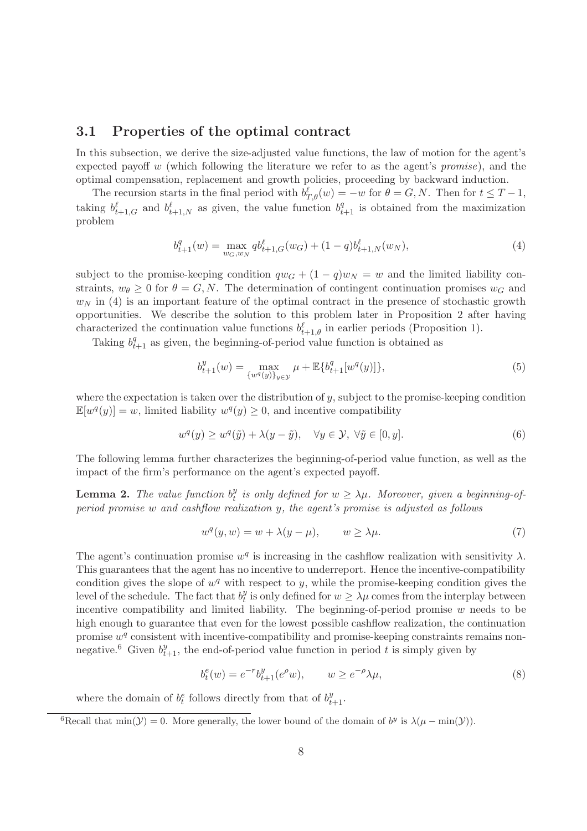### 3.1 Properties of the optimal contract

In this subsection, we derive the size-adjusted value functions, the law of motion for the agent's expected payoff w (which following the literature we refer to as the agent's *promise*), and the optimal compensation, replacement and growth policies, proceeding by backward induction.

The recursion starts in the final period with  $b_{T,\theta}^{\ell}(w) = -w$  for  $\theta = G, N$ . Then for  $t \leq T-1$ , taking  $b_{t+1,G}^{\ell}$  and  $b_{t+1,N}^{\ell}$  as given, the value function  $b_{t+1}^{q}$  is obtained from the maximization problem

$$
b_{t+1}^q(w) = \max_{w_G, w_N} q b_{t+1,G}^\ell(w_G) + (1-q)b_{t+1,N}^\ell(w_N),\tag{4}
$$

subject to the promise-keeping condition  $qw_G + (1 - q)w_N = w$  and the limited liability constraints,  $w_{\theta} \geq 0$  for  $\theta = G, N$ . The determination of contingent continuation promises  $w_G$  and  $w_N$  in (4) is an important feature of the optimal contract in the presence of stochastic growth opportunities. We describe the solution to this problem later in Proposition 2 after having characterized the continuation value functions  $b^{\ell}_{t+1,\theta}$  in earlier periods (Proposition 1).

Taking  $b_{t+1}^q$  as given, the beginning-of-period value function is obtained as

$$
b_{t+1}^y(w) = \max_{\{w^q(y)\}_y \in \mathcal{Y}} \mu + \mathbb{E}\{b_{t+1}^q[w^q(y)]\},\tag{5}
$$

where the expectation is taken over the distribution of  $y$ , subject to the promise-keeping condition  $\mathbb{E}[w^q(y)] = w$ , limited liability  $w^q(y) \geq 0$ , and incentive compatibility

$$
w^{q}(y) \ge w^{q}(\tilde{y}) + \lambda(y - \tilde{y}), \quad \forall y \in \mathcal{Y}, \ \forall \tilde{y} \in [0, y].
$$
\n
$$
(6)
$$

The following lemma further characterizes the beginning-of-period value function, as well as the impact of the firm's performance on the agent's expected payoff.

**Lemma 2.** The value function  $b_t^y$  $t_t^y$  is only defined for  $w \geq \lambda \mu$ . Moreover, given a beginning-of*period promise* w *and cashflow realization* y*, the agent's promise is adjusted as follows*

$$
w^{q}(y, w) = w + \lambda(y - \mu), \qquad w \ge \lambda\mu.
$$
\n(7)

The agent's continuation promise  $w^q$  is increasing in the cashflow realization with sensitivity  $\lambda$ . This guarantees that the agent has no incentive to underreport. Hence the incentive-compatibility condition gives the slope of  $w<sup>q</sup>$  with respect to y, while the promise-keeping condition gives the level of the schedule. The fact that  $b_t^y$  $t_i^y$  is only defined for  $w \geq \lambda \mu$  comes from the interplay between incentive compatibility and limited liability. The beginning-of-period promise  $w$  needs to be high enough to guarantee that even for the lowest possible cashflow realization, the continuation promise  $w<sup>q</sup>$  consistent with incentive-compatibility and promise-keeping constraints remains nonnegative.<sup>6</sup> Given  $b_{t+1}^y$ , the end-of-period value function in period t is simply given by

$$
b_t^e(w) = e^{-r} b_{t+1}^y(e^{\rho} w), \qquad w \ge e^{-\rho} \lambda \mu,
$$
\n(8)

where the domain of  $b_t^e$  follows directly from that of  $b_{t+1}^y$ .

<sup>&</sup>lt;sup>6</sup>Recall that min( $\mathcal{Y}$ ) = 0. More generally, the lower bound of the domain of  $b^y$  is  $\lambda(\mu - \min(\mathcal{Y}))$ .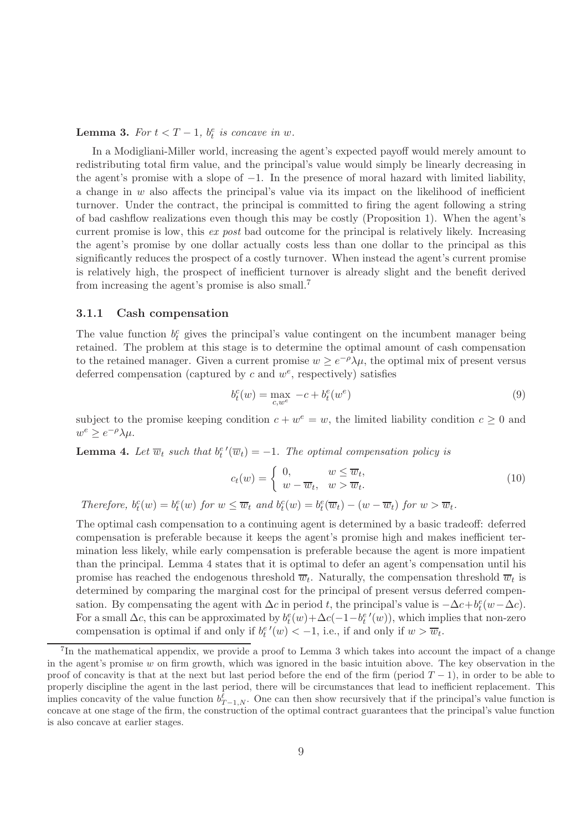**Lemma 3.** For  $t < T - 1$ ,  $b_t^e$  is concave in w.

In a Modigliani-Miller world, increasing the agent's expected payoff would merely amount to redistributing total firm value, and the principal's value would simply be linearly decreasing in the agent's promise with a slope of  $-1$ . In the presence of moral hazard with limited liability, a change in  $w$  also affects the principal's value via its impact on the likelihood of inefficient turnover. Under the contract, the principal is committed to firing the agent following a string of bad cashflow realizations even though this may be costly (Proposition 1). When the agent's current promise is low, this *ex post* bad outcome for the principal is relatively likely. Increasing the agent's promise by one dollar actually costs less than one dollar to the principal as this significantly reduces the prospect of a costly turnover. When instead the agent's current promise is relatively high, the prospect of inefficient turnover is already slight and the benefit derived from increasing the agent's promise is also small.<sup>7</sup>

#### 3.1.1 Cash compensation

The value function  $b_t^c$  gives the principal's value contingent on the incumbent manager being retained. The problem at this stage is to determine the optimal amount of cash compensation to the retained manager. Given a current promise  $w \geq e^{-\rho}\lambda\mu$ , the optimal mix of present versus deferred compensation (captured by  $c$  and  $w^e$ , respectively) satisfies

$$
b_t^c(w) = \max_{c, w^e} -c + b_t^e(w^e)
$$
\n(9)

subject to the promise keeping condition  $c + w^e = w$ , the limited liability condition  $c \geq 0$  and  $w^e \geq e^{-\rho} \lambda \mu$ .

**Lemma 4.** Let  $\overline{w}_t$  such that  $b_t^{e'}(\overline{w}_t) = -1$ . The optimal compensation policy is

$$
c_t(w) = \begin{cases} 0, & w \le \overline{w}_t, \\ w - \overline{w}_t, & w > \overline{w}_t. \end{cases}
$$
 (10)

*Therefore,*  $b_t^c(w) = b_t^e(w)$  *for*  $w \leq \overline{w}_t$  *and*  $b_t^c(w) = b_t^e(\overline{w}_t) - (w - \overline{w}_t)$  *for*  $w > \overline{w}_t$ *.* 

The optimal cash compensation to a continuing agent is determined by a basic tradeoff: deferred compensation is preferable because it keeps the agent's promise high and makes inefficient termination less likely, while early compensation is preferable because the agent is more impatient than the principal. Lemma 4 states that it is optimal to defer an agent's compensation until his promise has reached the endogenous threshold  $\overline{w}_t$ . Naturally, the compensation threshold  $\overline{w}_t$  is determined by comparing the marginal cost for the principal of present versus deferred compensation. By compensating the agent with  $\Delta c$  in period t, the principal's value is  $-\Delta c + b_t^e(w - \Delta c)$ . For a small  $\Delta c$ , this can be approximated by  $b_t^e(w) + \Delta c(-1-b_t^{e'}(w))$ , which implies that non-zero compensation is optimal if and only if  $b_t^{e'}(w) < -1$ , i.e., if and only if  $w > \overline{w}_t$ .

<sup>&</sup>lt;sup>7</sup>In the mathematical appendix, we provide a proof to Lemma 3 which takes into account the impact of a change in the agent's promise  $w$  on firm growth, which was ignored in the basic intuition above. The key observation in the proof of concavity is that at the next but last period before the end of the firm (period  $T - 1$ ), in order to be able to properly discipline the agent in the last period, there will be circumstances that lead to inefficient replacement. This implies concavity of the value function  $b_{T-1,N}^{\ell}$ . One can then show recursively that if the principal's value function is concave at one stage of the firm, the construction of the optimal contract guarantees that the principal's value function is also concave at earlier stages.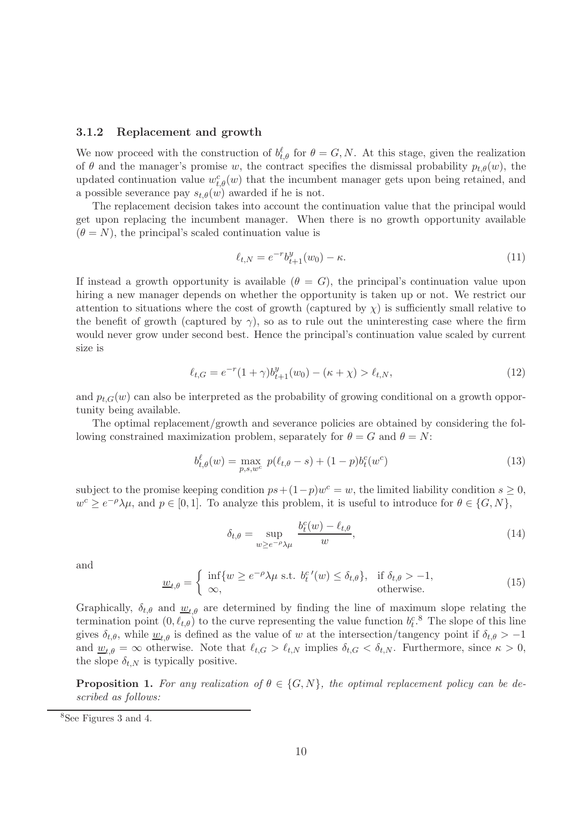#### 3.1.2 Replacement and growth

We now proceed with the construction of  $b_{t,\theta}^{\ell}$  for  $\theta = G, N$ . At this stage, given the realization of  $\theta$  and the manager's promise w, the contract specifies the dismissal probability  $p_{t,\theta}(w)$ , the updated continuation value  $w_{t,\theta}^c(w)$  that the incumbent manager gets upon being retained, and a possible severance pay  $s_{t,\theta}(w)$  awarded if he is not.

The replacement decision takes into account the continuation value that the principal would get upon replacing the incumbent manager. When there is no growth opportunity available  $(\theta = N)$ , the principal's scaled continuation value is

$$
\ell_{t,N} = e^{-r} b_{t+1}^y (w_0) - \kappa.
$$
\n(11)

If instead a growth opportunity is available  $(\theta = G)$ , the principal's continuation value upon hiring a new manager depends on whether the opportunity is taken up or not. We restrict our attention to situations where the cost of growth (captured by  $\chi$ ) is sufficiently small relative to the benefit of growth (captured by  $\gamma$ ), so as to rule out the uninteresting case where the firm would never grow under second best. Hence the principal's continuation value scaled by current size is

$$
\ell_{t,G} = e^{-r}(1+\gamma)b_{t+1}^y(w_0) - (\kappa + \chi) > \ell_{t,N},
$$
\n(12)

and  $p_{t,G}(w)$  can also be interpreted as the probability of growing conditional on a growth opportunity being available.

The optimal replacement/growth and severance policies are obtained by considering the following constrained maximization problem, separately for  $\theta = G$  and  $\theta = N$ :

$$
b_{t,\theta}^{\ell}(w) = \max_{p,s,w^c} p(\ell_{t,\theta} - s) + (1 - p)b_t^c(w^c)
$$
\n(13)

subject to the promise keeping condition  $ps + (1-p)w^c = w$ , the limited liability condition  $s \geq 0$ ,  $w^c \geq e^{-\rho}\lambda\mu$ , and  $p \in [0,1]$ . To analyze this problem, it is useful to introduce for  $\theta \in \{G, N\}$ ,

$$
\delta_{t,\theta} = \sup_{w \ge e^{-\rho} \lambda \mu} \frac{b_t^c(w) - \ell_{t,\theta}}{w},\tag{14}
$$

and

$$
\underline{w}_{t,\theta} = \begin{cases} \inf\{w \ge e^{-\rho}\lambda\mu \text{ s.t. } b_t^{c'}(w) \le \delta_{t,\theta}\}, & \text{if } \delta_{t,\theta} > -1, \\ \infty, & \text{otherwise.} \end{cases}
$$
(15)

Graphically,  $\delta_{t,\theta}$  and  $\underline{w}_{t,\theta}$  are determined by finding the line of maximum slope relating the termination point  $(0, \ell_{t,\theta})$  to the curve representing the value function  $b_t^c$ .<sup>8</sup> The slope of this line gives  $\delta_{t,\theta}$ , while  $\underline{w}_{t,\theta}$  is defined as the value of w at the intersection/tangency point if  $\delta_{t,\theta} > -1$ and  $\underline{w}_{t,\theta} = \infty$  otherwise. Note that  $\ell_{t,G} > \ell_{t,N}$  implies  $\delta_{t,G} < \delta_{t,N}$ . Furthermore, since  $\kappa > 0$ , the slope  $\delta_{t,N}$  is typically positive.

**Proposition 1.** For any realization of  $\theta \in \{G, N\}$ , the optimal replacement policy can be de*scribed as follows:*

<sup>8</sup>See Figures 3 and 4.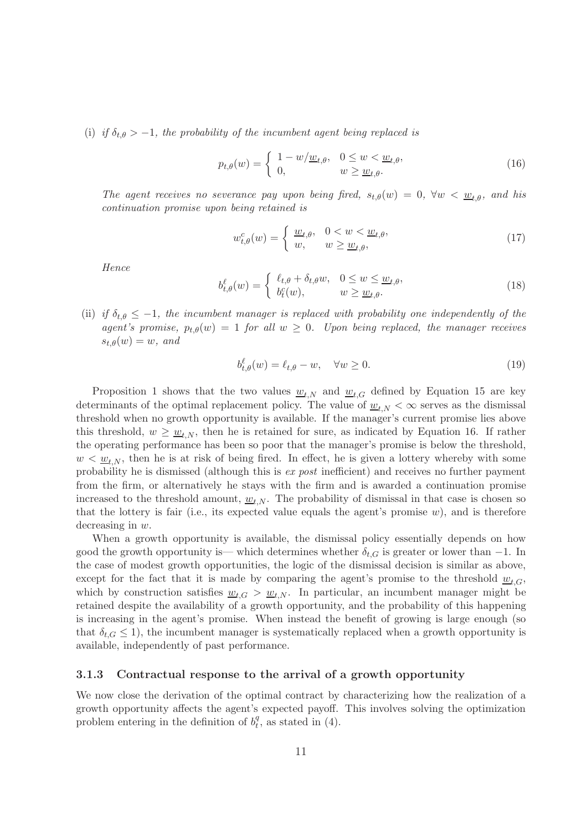(i) *if*  $\delta_{t,\theta} > -1$ , the probability of the incumbent agent being replaced is

$$
p_{t,\theta}(w) = \begin{cases} 1 - w/\underline{w}_{t,\theta}, & 0 \le w < \underline{w}_{t,\theta}, \\ 0, & w \ge \underline{w}_{t,\theta}. \end{cases}
$$
(16)

*The agent receives no severance pay upon being fired,*  $s_{t,\theta}(w) = 0$ ,  $\forall w < \underline{w_{t,\theta}}$ , and his *continuation promise upon being retained is*

$$
w_{t,\theta}^c(w) = \begin{cases} \frac{w_{t,\theta}}{w}, & 0 < w < \frac{w_{t,\theta}}{w}, \\ w, & w \ge \frac{w_{t,\theta}}{w}, \end{cases}
$$
(17)

*Hence*

$$
b_{t,\theta}^{\ell}(w) = \begin{cases} \ell_{t,\theta} + \delta_{t,\theta}w, & 0 \le w \le \underline{w}_{t,\theta}, \\ b_t^c(w), & w \ge \underline{w}_{t,\theta}. \end{cases}
$$
(18)

(ii) *if*  $\delta_{t,\theta} \leq -1$ , the incumbent manager is replaced with probability one independently of the *agent's promise,*  $p_{t,\theta}(w) = 1$  *for all*  $w \geq 0$ *. Upon being replaced, the manager receives*  $s_{t,\theta}(w) = w$ , and

$$
b_{t,\theta}^{\ell}(w) = \ell_{t,\theta} - w, \quad \forall w \ge 0.
$$
\n(19)

Proposition 1 shows that the two values  $w_{t,N}$  and  $w_{t,G}$  defined by Equation 15 are key determinants of the optimal replacement policy. The value of  $w_{t,N} < \infty$  serves as the dismissal threshold when no growth opportunity is available. If the manager's current promise lies above this threshold,  $w \geq \underline{w}_{t,N}$ , then he is retained for sure, as indicated by Equation 16. If rather the operating performance has been so poor that the manager's promise is below the threshold,  $w < w_{t,N}$ , then he is at risk of being fired. In effect, he is given a lottery whereby with some probability he is dismissed (although this is *ex post* inefficient) and receives no further payment from the firm, or alternatively he stays with the firm and is awarded a continuation promise increased to the threshold amount,  $w_{t,N}$ . The probability of dismissal in that case is chosen so that the lottery is fair (i.e., its expected value equals the agent's promise  $w$ ), and is therefore decreasing in w.

When a growth opportunity is available, the dismissal policy essentially depends on how good the growth opportunity is— which determines whether  $\delta_{t,G}$  is greater or lower than  $-1$ . In the case of modest growth opportunities, the logic of the dismissal decision is similar as above, except for the fact that it is made by comparing the agent's promise to the threshold  $w_{t,G}$ , which by construction satisfies  $w_{t,G} > w_{t,N}$ . In particular, an incumbent manager might be retained despite the availability of a growth opportunity, and the probability of this happening is increasing in the agent's promise. When instead the benefit of growing is large enough (so that  $\delta_{t,G} \leq 1$ , the incumbent manager is systematically replaced when a growth opportunity is available, independently of past performance.

#### 3.1.3 Contractual response to the arrival of a growth opportunity

We now close the derivation of the optimal contract by characterizing how the realization of a growth opportunity affects the agent's expected payoff. This involves solving the optimization problem entering in the definition of  $b_t^q$  $t<sub>t</sub><sup>q</sup>$ , as stated in (4).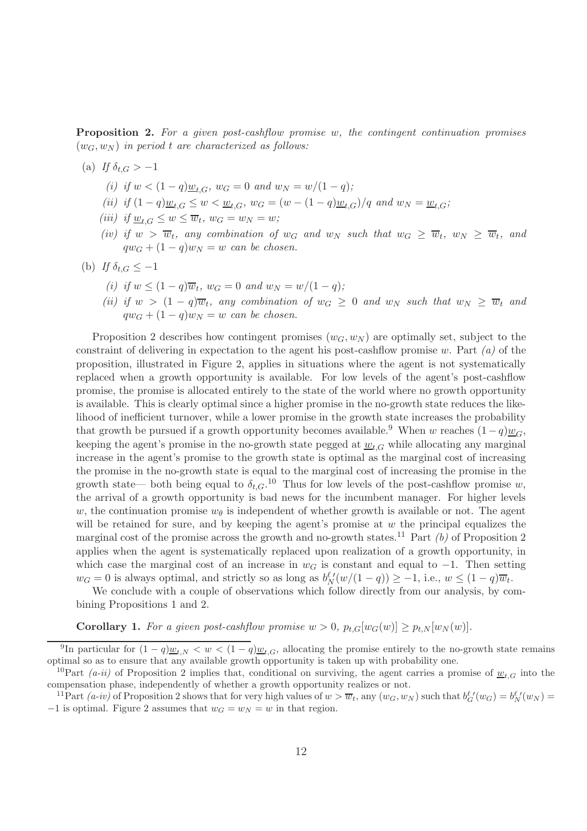Proposition 2. *For a given post-cashflow promise* w*, the contingent continuation promises*  $(w_G, w_N)$  *in period* t are characterized as follows:

- (a) If  $\delta_{t,G} > -1$ 
	- *(i)* if  $w < (1 q) \underline{w}_{t,G}$ ,  $w_G = 0$  and  $w_N = w/(1 q)$ ;
	- *(ii) if*  $(1-q)w_{t,G} \leq w \leq w_{t,G}$ ,  $w_G = (w (1-q)w_{t,G})/q$  and  $w_N = w_{t,G}$ ;
	- (*iii*) if  $\underline{w}_{t,G} \leq w \leq \overline{w}_t$ ,  $w_G = w_N = w$ ;
	- *(iv)* if  $w > \overline{w}_t$ , any combination of  $w_G$  and  $w_N$  such that  $w_G \geq \overline{w}_t$ ,  $w_N \geq \overline{w}_t$ , and  $qw_G + (1-q)w_N = w$  can be chosen.
- (b) If  $\delta_{t,G} \leq -1$ 
	- *(i)* if  $w \leq (1-q)\overline{w}_t$ ,  $w_G = 0$  and  $w_N = w/(1-q)$ ;
	- *(ii)* if  $w > (1 q)\overline{w}_t$ , any combination of  $w_G \geq 0$  and  $w_N$  such that  $w_N \geq \overline{w}_t$  and  $qw_G + (1-q)w_N = w$  can be chosen.

Proposition 2 describes how contingent promises  $(w_G, w_N)$  are optimally set, subject to the constraint of delivering in expectation to the agent his post-cashflow promise w. Part *(a)* of the proposition, illustrated in Figure 2, applies in situations where the agent is not systematically replaced when a growth opportunity is available. For low levels of the agent's post-cashflow promise, the promise is allocated entirely to the state of the world where no growth opportunity is available. This is clearly optimal since a higher promise in the no-growth state reduces the likelihood of inefficient turnover, while a lower promise in the growth state increases the probability that growth be pursued if a growth opportunity becomes available.<sup>9</sup> When w reaches  $(1-q)w_G$ , keeping the agent's promise in the no-growth state pegged at  $\underline{w}_{t,G}$  while allocating any marginal increase in the agent's promise to the growth state is optimal as the marginal cost of increasing the promise in the no-growth state is equal to the marginal cost of increasing the promise in the growth state— both being equal to  $\delta_{t,G}$ .<sup>10</sup> Thus for low levels of the post-cashflow promise w, the arrival of a growth opportunity is bad news for the incumbent manager. For higher levels w, the continuation promise  $w_{\theta}$  is independent of whether growth is available or not. The agent will be retained for sure, and by keeping the agent's promise at  $w$  the principal equalizes the marginal cost of the promise across the growth and no-growth states.<sup>11</sup> Part *(b)* of Proposition 2 applies when the agent is systematically replaced upon realization of a growth opportunity, in which case the marginal cost of an increase in  $w_G$  is constant and equal to  $-1$ . Then setting  $w_G = 0$  is always optimal, and strictly so as long as  $b_N^{\ell\prime}(w/(1-q)) \geq -1$ , i.e.,  $w \leq (1-q)\overline{w}_t$ .

We conclude with a couple of observations which follow directly from our analysis, by combining Propositions 1 and 2.

**Corollary 1.** For a given post-cashflow promise  $w > 0$ ,  $p_{t,G}[w_G(w)] \geq p_{t,N}[w_N(w)]$ .

<sup>&</sup>lt;sup>9</sup>In particular for  $(1-q)\underline{w}_{t,N} < w < (1-q)\underline{w}_{t,G}$ , allocating the promise entirely to the no-growth state remains optimal so as to ensure that any available growth opportunity is taken up with probability one.

<sup>&</sup>lt;sup>10</sup>Part *(a-ii)* of Proposition 2 implies that, conditional on surviving, the agent carries a promise of  $w_{t,G}$  into the compensation phase, independently of whether a growth opportunity realizes or not.

<sup>&</sup>lt;sup>11</sup>Part *(a-iv)* of Proposition 2 shows that for very high values of  $w > \overline{w}_t$ , any  $(w_G, w_N)$  such that  $b_G^{\ell'}(w_G) = b_N^{\ell'}(w_N)$  $-1$  is optimal. Figure 2 assumes that  $w_G = w_N = w$  in that region.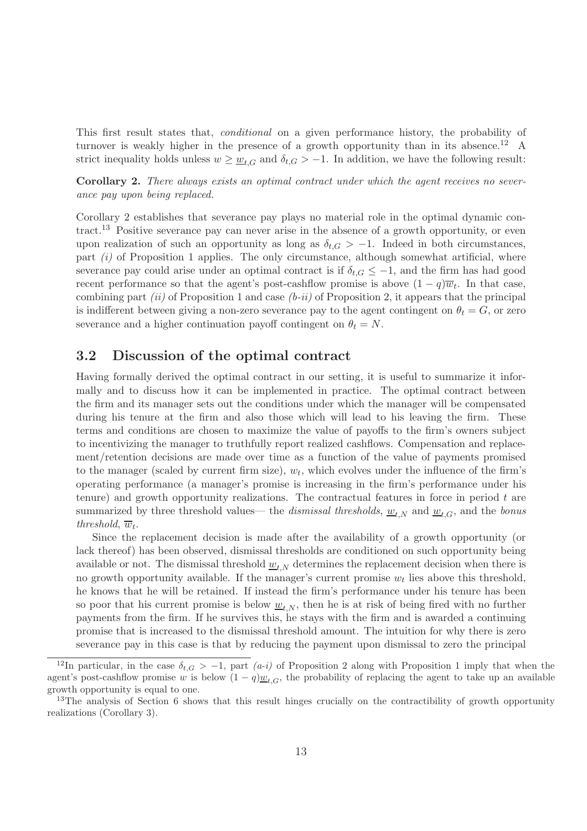This first result states that, *conditional* on a given performance history, the probability of turnover is weakly higher in the presence of a growth opportunity than in its absence.<sup>12</sup> A strict inequality holds unless  $w \geq w_{t,G}$  and  $\delta_{t,G} > -1$ . In addition, we have the following result:

Corollary 2. *There always exists an optimal contract under which the agent receives no severance pay upon being replaced.*

Corollary 2 establishes that severance pay plays no material role in the optimal dynamic contract.<sup>13</sup> Positive severance pay can never arise in the absence of a growth opportunity, or even upon realization of such an opportunity as long as  $\delta_{t,G} > -1$ . Indeed in both circumstances, part *(i)* of Proposition 1 applies. The only circumstance, although somewhat artificial, where severance pay could arise under an optimal contract is if  $\delta_{t,G} \leq -1$ , and the firm has had good recent performance so that the agent's post-cashflow promise is above  $(1-q)\overline{w}_t$ . In that case, combining part *(ii)* of Proposition 1 and case *(b-ii)* of Proposition 2, it appears that the principal is indifferent between giving a non-zero severance pay to the agent contingent on  $\theta_t = G$ , or zero severance and a higher continuation payoff contingent on  $\theta_t = N$ .

### 3.2 Discussion of the optimal contract

Having formally derived the optimal contract in our setting, it is useful to summarize it informally and to discuss how it can be implemented in practice. The optimal contract between the firm and its manager sets out the conditions under which the manager will be compensated during his tenure at the firm and also those which will lead to his leaving the firm. These terms and conditions are chosen to maximize the value of payoffs to the firm's owners subject to incentivizing the manager to truthfully report realized cashflows. Compensation and replacement/retention decisions are made over time as a function of the value of payments promised to the manager (scaled by current firm size),  $w_t$ , which evolves under the influence of the firm's operating performance (a manager's promise is increasing in the firm's performance under his tenure) and growth opportunity realizations. The contractual features in force in period  $t$  are summarized by three threshold values— the *dismissal thresholds*,  $\underline{w}_{t,N}$  and  $\underline{w}_{t,G}$ , and the *bonus threshold*,  $\overline{w}_t$ .

Since the replacement decision is made after the availability of a growth opportunity (or lack thereof) has been observed, dismissal thresholds are conditioned on such opportunity being available or not. The dismissal threshold  $\underline{w}_{t,N}$  determines the replacement decision when there is no growth opportunity available. If the manager's current promise  $w_t$  lies above this threshold, he knows that he will be retained. If instead the firm's performance under his tenure has been so poor that his current promise is below  $\underline{w}_{t,N}$ , then he is at risk of being fired with no further payments from the firm. If he survives this, he stays with the firm and is awarded a continuing promise that is increased to the dismissal threshold amount. The intuition for why there is zero severance pay in this case is that by reducing the payment upon dismissal to zero the principal

<sup>&</sup>lt;sup>12</sup>In particular, in the case  $\delta_{t,G} > -1$ , part  $(a-i)$  of Proposition 2 along with Proposition 1 imply that when the agent's post-cashflow promise w is below  $(1-q)\underline{w}_t$ , the probability of replacing the agent to take up an available growth opportunity is equal to one.

<sup>&</sup>lt;sup>13</sup>The analysis of Section 6 shows that this result hinges crucially on the contractibility of growth opportunity realizations (Corollary 3).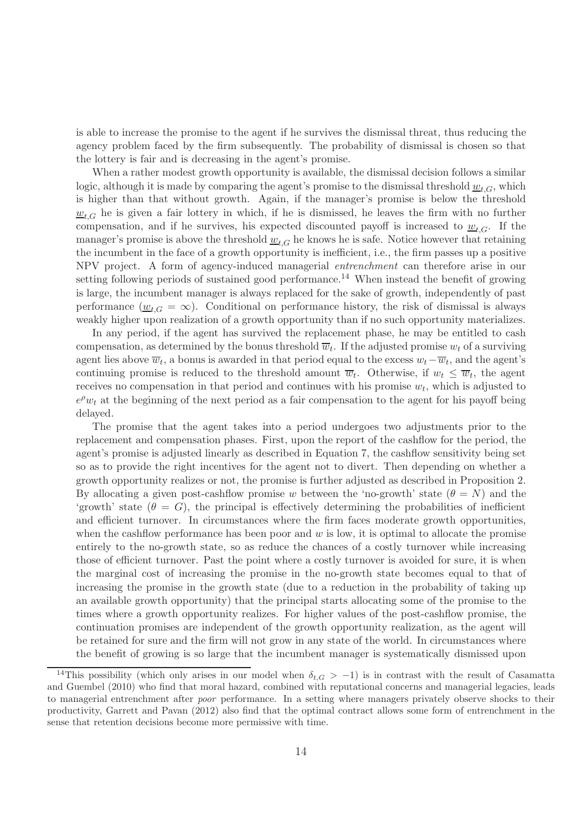is able to increase the promise to the agent if he survives the dismissal threat, thus reducing the agency problem faced by the firm subsequently. The probability of dismissal is chosen so that the lottery is fair and is decreasing in the agent's promise.

When a rather modest growth opportunity is available, the dismissal decision follows a similar logic, although it is made by comparing the agent's promise to the dismissal threshold  $\underline{w}_{t,G}$ , which is higher than that without growth. Again, if the manager's promise is below the threshold  $w_{tG}$  he is given a fair lottery in which, if he is dismissed, he leaves the firm with no further compensation, and if he survives, his expected discounted payoff is increased to  $w_{t,G}$ . If the manager's promise is above the threshold  $\underline{w}_{t,G}$  he knows he is safe. Notice however that retaining the incumbent in the face of a growth opportunity is inefficient, i.e., the firm passes up a positive NPV project. A form of agency-induced managerial *entrenchment* can therefore arise in our setting following periods of sustained good performance.<sup>14</sup> When instead the benefit of growing is large, the incumbent manager is always replaced for the sake of growth, independently of past performance  $(\underline{w}_{t,G} = \infty)$ . Conditional on performance history, the risk of dismissal is always weakly higher upon realization of a growth opportunity than if no such opportunity materializes.

In any period, if the agent has survived the replacement phase, he may be entitled to cash compensation, as determined by the bonus threshold  $\overline{w}_t$ . If the adjusted promise  $w_t$  of a surviving agent lies above  $\overline{w}_t$ , a bonus is awarded in that period equal to the excess  $w_t - \overline{w}_t$ , and the agent's continuing promise is reduced to the threshold amount  $\overline{w}_t$ . Otherwise, if  $w_t \leq \overline{w}_t$ , the agent receives no compensation in that period and continues with his promise  $w_t$ , which is adjusted to  $e^{\rho}w_t$  at the beginning of the next period as a fair compensation to the agent for his payoff being delayed.

The promise that the agent takes into a period undergoes two adjustments prior to the replacement and compensation phases. First, upon the report of the cashflow for the period, the agent's promise is adjusted linearly as described in Equation 7, the cashflow sensitivity being set so as to provide the right incentives for the agent not to divert. Then depending on whether a growth opportunity realizes or not, the promise is further adjusted as described in Proposition 2. By allocating a given post-cashflow promise w between the 'no-growth' state  $(\theta = N)$  and the 'growth' state  $(\theta = G)$ , the principal is effectively determining the probabilities of inefficient and efficient turnover. In circumstances where the firm faces moderate growth opportunities, when the cashflow performance has been poor and  $w$  is low, it is optimal to allocate the promise entirely to the no-growth state, so as reduce the chances of a costly turnover while increasing those of efficient turnover. Past the point where a costly turnover is avoided for sure, it is when the marginal cost of increasing the promise in the no-growth state becomes equal to that of increasing the promise in the growth state (due to a reduction in the probability of taking up an available growth opportunity) that the principal starts allocating some of the promise to the times where a growth opportunity realizes. For higher values of the post-cashflow promise, the continuation promises are independent of the growth opportunity realization, as the agent will be retained for sure and the firm will not grow in any state of the world. In circumstances where the benefit of growing is so large that the incumbent manager is systematically dismissed upon

<sup>&</sup>lt;sup>14</sup>This possibility (which only arises in our model when  $\delta_{t,G} > -1$ ) is in contrast with the result of Casamatta and Guembel (2010) who find that moral hazard, combined with reputational concerns and managerial legacies, leads to managerial entrenchment after *poor* performance. In a setting where managers privately observe shocks to their productivity, Garrett and Pavan (2012) also find that the optimal contract allows some form of entrenchment in the sense that retention decisions become more permissive with time.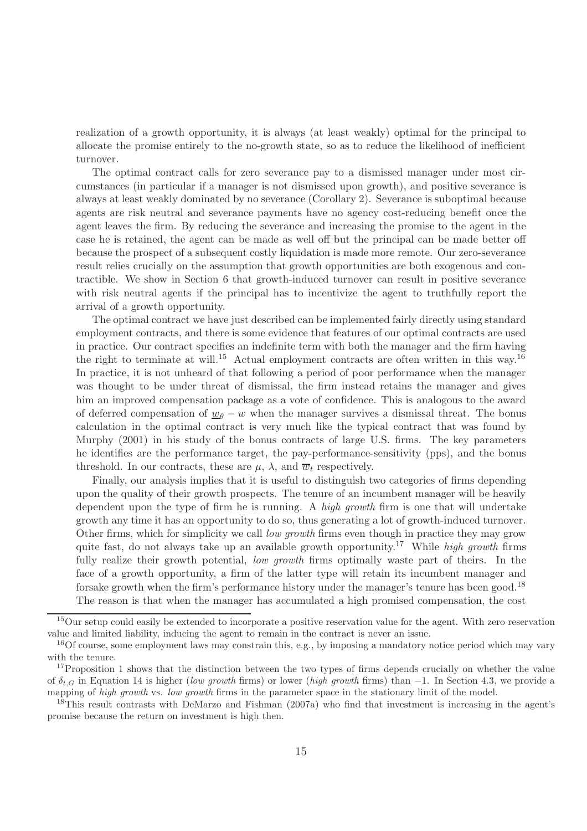realization of a growth opportunity, it is always (at least weakly) optimal for the principal to allocate the promise entirely to the no-growth state, so as to reduce the likelihood of inefficient turnover.

The optimal contract calls for zero severance pay to a dismissed manager under most circumstances (in particular if a manager is not dismissed upon growth), and positive severance is always at least weakly dominated by no severance (Corollary 2). Severance is suboptimal because agents are risk neutral and severance payments have no agency cost-reducing benefit once the agent leaves the firm. By reducing the severance and increasing the promise to the agent in the case he is retained, the agent can be made as well off but the principal can be made better off because the prospect of a subsequent costly liquidation is made more remote. Our zero-severance result relies crucially on the assumption that growth opportunities are both exogenous and contractible. We show in Section 6 that growth-induced turnover can result in positive severance with risk neutral agents if the principal has to incentivize the agent to truthfully report the arrival of a growth opportunity.

The optimal contract we have just described can be implemented fairly directly using standard employment contracts, and there is some evidence that features of our optimal contracts are used in practice. Our contract specifies an indefinite term with both the manager and the firm having the right to terminate at will.<sup>15</sup> Actual employment contracts are often written in this way.<sup>16</sup> In practice, it is not unheard of that following a period of poor performance when the manager was thought to be under threat of dismissal, the firm instead retains the manager and gives him an improved compensation package as a vote of confidence. This is analogous to the award of deferred compensation of  $\underline{w}_{\theta} - w$  when the manager survives a dismissal threat. The bonus calculation in the optimal contract is very much like the typical contract that was found by Murphy (2001) in his study of the bonus contracts of large U.S. firms. The key parameters he identifies are the performance target, the pay-performance-sensitivity (pps), and the bonus threshold. In our contracts, these are  $\mu$ ,  $\lambda$ , and  $\overline{w}_t$  respectively.

Finally, our analysis implies that it is useful to distinguish two categories of firms depending upon the quality of their growth prospects. The tenure of an incumbent manager will be heavily dependent upon the type of firm he is running. A *high growth* firm is one that will undertake growth any time it has an opportunity to do so, thus generating a lot of growth-induced turnover. Other firms, which for simplicity we call *low growth* firms even though in practice they may grow quite fast, do not always take up an available growth opportunity.<sup>17</sup> While *high growth* firms fully realize their growth potential, *low growth* firms optimally waste part of theirs. In the face of a growth opportunity, a firm of the latter type will retain its incumbent manager and forsake growth when the firm's performance history under the manager's tenure has been good.<sup>18</sup> The reason is that when the manager has accumulated a high promised compensation, the cost

<sup>&</sup>lt;sup>15</sup>Our setup could easily be extended to incorporate a positive reservation value for the agent. With zero reservation value and limited liability, inducing the agent to remain in the contract is never an issue.

<sup>&</sup>lt;sup>16</sup>Of course, some employment laws may constrain this, e.g., by imposing a mandatory notice period which may vary with the tenure.

<sup>&</sup>lt;sup>17</sup>Proposition 1 shows that the distinction between the two types of firms depends crucially on whether the value of δt,G in Equation 14 is higher (*low growth* firms) or lower (*high growth* firms) than −1. In Section 4.3, we provide a mapping of *high growth* vs. *low growth* firms in the parameter space in the stationary limit of the model.

<sup>18</sup>This result contrasts with DeMarzo and Fishman (2007a) who find that investment is increasing in the agent's promise because the return on investment is high then.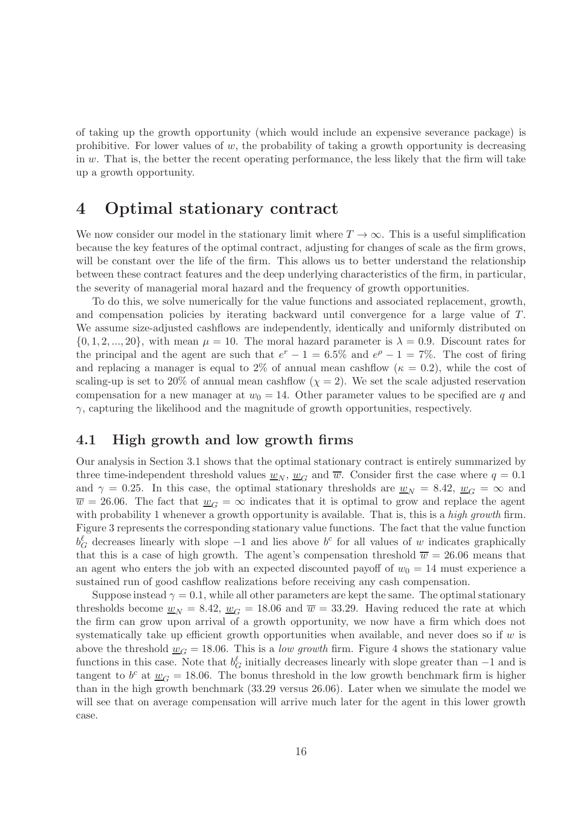of taking up the growth opportunity (which would include an expensive severance package) is prohibitive. For lower values of  $w$ , the probability of taking a growth opportunity is decreasing in  $w$ . That is, the better the recent operating performance, the less likely that the firm will take up a growth opportunity.

# 4 Optimal stationary contract

We now consider our model in the stationary limit where  $T \to \infty$ . This is a useful simplification because the key features of the optimal contract, adjusting for changes of scale as the firm grows, will be constant over the life of the firm. This allows us to better understand the relationship between these contract features and the deep underlying characteristics of the firm, in particular, the severity of managerial moral hazard and the frequency of growth opportunities.

To do this, we solve numerically for the value functions and associated replacement, growth, and compensation policies by iterating backward until convergence for a large value of T. We assume size-adjusted cashflows are independently, identically and uniformly distributed on  $\{0, 1, 2, ..., 20\}$ , with mean  $\mu = 10$ . The moral hazard parameter is  $\lambda = 0.9$ . Discount rates for the principal and the agent are such that  $e^r - 1 = 6.5\%$  and  $e^{\rho} - 1 = 7\%$ . The cost of firing and replacing a manager is equal to 2% of annual mean cashflow ( $\kappa = 0.2$ ), while the cost of scaling-up is set to 20% of annual mean cashflow  $(\chi = 2)$ . We set the scale adjusted reservation compensation for a new manager at  $w_0 = 14$ . Other parameter values to be specified are q and  $\gamma$ , capturing the likelihood and the magnitude of growth opportunities, respectively.

## 4.1 High growth and low growth firms

Our analysis in Section 3.1 shows that the optimal stationary contract is entirely summarized by three time-independent threshold values  $\underline{w}_N$ ,  $\underline{w}_G$  and  $\overline{w}$ . Consider first the case where  $q = 0.1$ and  $\gamma = 0.25$ . In this case, the optimal stationary thresholds are  $w_N = 8.42$ ,  $w_G = \infty$  and  $\overline{w} = 26.06$ . The fact that  $w_G = \infty$  indicates that it is optimal to grow and replace the agent with probability 1 whenever a growth opportunity is available. That is, this is a *high growth* firm. Figure 3 represents the corresponding stationary value functions. The fact that the value function  $b_G^{\ell}$  decreases linearly with slope  $-1$  and lies above  $b^c$  for all values of w indicates graphically that this is a case of high growth. The agent's compensation threshold  $\overline{w} = 26.06$  means that an agent who enters the job with an expected discounted payoff of  $w_0 = 14$  must experience a sustained run of good cashflow realizations before receiving any cash compensation.

Suppose instead  $\gamma = 0.1$ , while all other parameters are kept the same. The optimal stationary thresholds become  $\underline{w}_N = 8.42$ ,  $\underline{w}_G = 18.06$  and  $\overline{w} = 33.29$ . Having reduced the rate at which the firm can grow upon arrival of a growth opportunity, we now have a firm which does not systematically take up efficient growth opportunities when available, and never does so if  $w$  is above the threshold  $\underline{w}_G = 18.06$ . This is a *low growth* firm. Figure 4 shows the stationary value functions in this case. Note that  $b_G^{\ell}$  initially decreases linearly with slope greater than  $-1$  and is tangent to  $b^c$  at  $\underline{w}_G = 18.06$ . The bonus threshold in the low growth benchmark firm is higher than in the high growth benchmark (33.29 versus 26.06). Later when we simulate the model we will see that on average compensation will arrive much later for the agent in this lower growth case.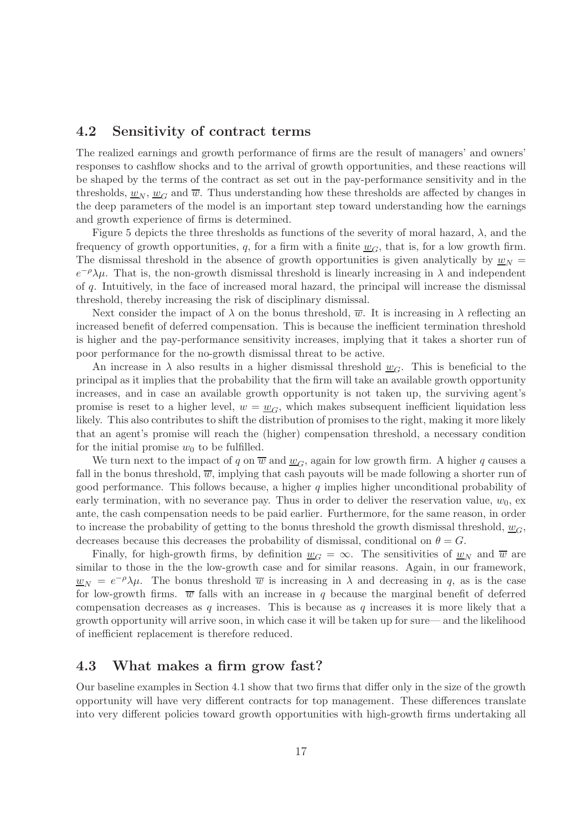### 4.2 Sensitivity of contract terms

The realized earnings and growth performance of firms are the result of managers' and owners' responses to cashflow shocks and to the arrival of growth opportunities, and these reactions will be shaped by the terms of the contract as set out in the pay-performance sensitivity and in the thresholds,  $w_N$ ,  $w_G$  and  $\overline{w}$ . Thus understanding how these thresholds are affected by changes in the deep parameters of the model is an important step toward understanding how the earnings and growth experience of firms is determined.

Figure 5 depicts the three thresholds as functions of the severity of moral hazard,  $\lambda$ , and the frequency of growth opportunities, q, for a firm with a finite  $w_G$ , that is, for a low growth firm. The dismissal threshold in the absence of growth opportunities is given analytically by  $\underline{w}_N =$  $e^{-\rho}\lambda\mu$ . That is, the non-growth dismissal threshold is linearly increasing in  $\lambda$  and independent of q. Intuitively, in the face of increased moral hazard, the principal will increase the dismissal threshold, thereby increasing the risk of disciplinary dismissal.

Next consider the impact of  $\lambda$  on the bonus threshold,  $\overline{w}$ . It is increasing in  $\lambda$  reflecting an increased benefit of deferred compensation. This is because the inefficient termination threshold is higher and the pay-performance sensitivity increases, implying that it takes a shorter run of poor performance for the no-growth dismissal threat to be active.

An increase in  $\lambda$  also results in a higher dismissal threshold  $w_G$ . This is beneficial to the principal as it implies that the probability that the firm will take an available growth opportunity increases, and in case an available growth opportunity is not taken up, the surviving agent's promise is reset to a higher level,  $w = w_G$ , which makes subsequent inefficient liquidation less likely. This also contributes to shift the distribution of promises to the right, making it more likely that an agent's promise will reach the (higher) compensation threshold, a necessary condition for the initial promise  $w_0$  to be fulfilled.

We turn next to the impact of q on  $\overline{w}$  and  $w_G$ , again for low growth firm. A higher q causes a fall in the bonus threshold,  $\overline{w}$ , implying that cash payouts will be made following a shorter run of good performance. This follows because, a higher  $q$  implies higher unconditional probability of early termination, with no severance pay. Thus in order to deliver the reservation value,  $w_0$ , ex ante, the cash compensation needs to be paid earlier. Furthermore, for the same reason, in order to increase the probability of getting to the bonus threshold the growth dismissal threshold,  $w_G$ , decreases because this decreases the probability of dismissal, conditional on  $\theta = G$ .

Finally, for high-growth firms, by definition  $\underline{w}_G = \infty$ . The sensitivities of  $\underline{w}_N$  and  $\overline{w}$  are similar to those in the the low-growth case and for similar reasons. Again, in our framework,  $\underline{w}_N = e^{-\rho}\lambda\mu$ . The bonus threshold  $\overline{w}$  is increasing in  $\lambda$  and decreasing in q, as is the case for low-growth firms.  $\overline{w}$  falls with an increase in q because the marginal benefit of deferred compensation decreases as  $q$  increases. This is because as  $q$  increases it is more likely that a growth opportunity will arrive soon, in which case it will be taken up for sure— and the likelihood of inefficient replacement is therefore reduced.

#### 4.3 What makes a firm grow fast?

Our baseline examples in Section 4.1 show that two firms that differ only in the size of the growth opportunity will have very different contracts for top management. These differences translate into very different policies toward growth opportunities with high-growth firms undertaking all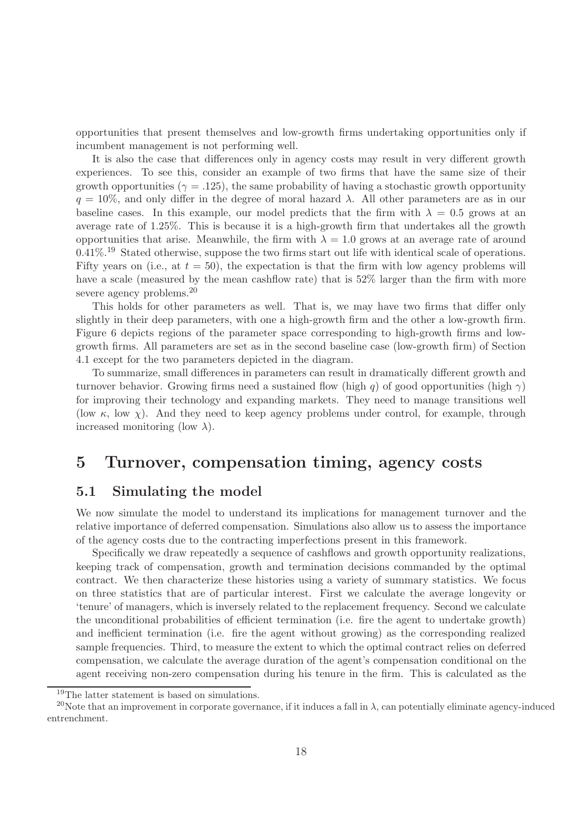opportunities that present themselves and low-growth firms undertaking opportunities only if incumbent management is not performing well.

It is also the case that differences only in agency costs may result in very different growth experiences. To see this, consider an example of two firms that have the same size of their growth opportunities ( $\gamma = .125$ ), the same probability of having a stochastic growth opportunity  $q = 10\%$ , and only differ in the degree of moral hazard  $\lambda$ . All other parameters are as in our baseline cases. In this example, our model predicts that the firm with  $\lambda = 0.5$  grows at an average rate of 1.25%. This is because it is a high-growth firm that undertakes all the growth opportunities that arise. Meanwhile, the firm with  $\lambda = 1.0$  grows at an average rate of around  $0.41\%$ <sup>19</sup> Stated otherwise, suppose the two firms start out life with identical scale of operations. Fifty years on (i.e., at  $t = 50$ ), the expectation is that the firm with low agency problems will have a scale (measured by the mean cashflow rate) that is 52% larger than the firm with more severe agency problems.<sup>20</sup>

This holds for other parameters as well. That is, we may have two firms that differ only slightly in their deep parameters, with one a high-growth firm and the other a low-growth firm. Figure 6 depicts regions of the parameter space corresponding to high-growth firms and lowgrowth firms. All parameters are set as in the second baseline case (low-growth firm) of Section 4.1 except for the two parameters depicted in the diagram.

To summarize, small differences in parameters can result in dramatically different growth and turnover behavior. Growing firms need a sustained flow (high q) of good opportunities (high  $\gamma$ ) for improving their technology and expanding markets. They need to manage transitions well (low  $\kappa$ , low  $\chi$ ). And they need to keep agency problems under control, for example, through increased monitoring (low  $\lambda$ ).

# 5 Turnover, compensation timing, agency costs

## 5.1 Simulating the model

We now simulate the model to understand its implications for management turnover and the relative importance of deferred compensation. Simulations also allow us to assess the importance of the agency costs due to the contracting imperfections present in this framework.

Specifically we draw repeatedly a sequence of cashflows and growth opportunity realizations, keeping track of compensation, growth and termination decisions commanded by the optimal contract. We then characterize these histories using a variety of summary statistics. We focus on three statistics that are of particular interest. First we calculate the average longevity or 'tenure' of managers, which is inversely related to the replacement frequency. Second we calculate the unconditional probabilities of efficient termination (i.e. fire the agent to undertake growth) and inefficient termination (i.e. fire the agent without growing) as the corresponding realized sample frequencies. Third, to measure the extent to which the optimal contract relies on deferred compensation, we calculate the average duration of the agent's compensation conditional on the agent receiving non-zero compensation during his tenure in the firm. This is calculated as the

<sup>&</sup>lt;sup>19</sup>The latter statement is based on simulations.

<sup>&</sup>lt;sup>20</sup>Note that an improvement in corporate governance, if it induces a fall in  $\lambda$ , can potentially eliminate agency-induced entrenchment.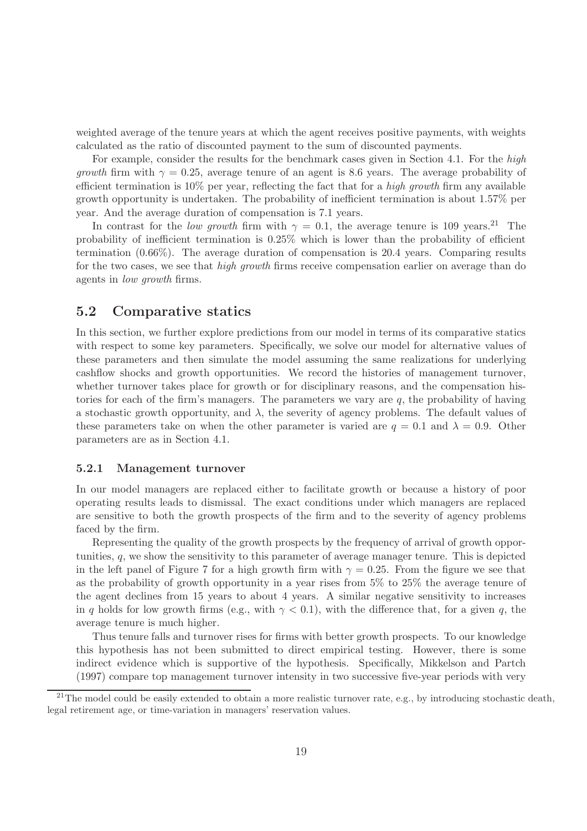weighted average of the tenure years at which the agent receives positive payments, with weights calculated as the ratio of discounted payment to the sum of discounted payments.

For example, consider the results for the benchmark cases given in Section 4.1. For the *high growth* firm with  $\gamma = 0.25$ , average tenure of an agent is 8.6 years. The average probability of efficient termination is 10% per year, reflecting the fact that for a *high growth* firm any available growth opportunity is undertaken. The probability of inefficient termination is about 1.57% per year. And the average duration of compensation is 7.1 years.

In contrast for the *low growth* firm with  $\gamma = 0.1$ , the average tenure is 109 years.<sup>21</sup> The probability of inefficient termination is 0.25% which is lower than the probability of efficient termination (0.66%). The average duration of compensation is 20.4 years. Comparing results for the two cases, we see that *high growth* firms receive compensation earlier on average than do agents in *low growth* firms.

### 5.2 Comparative statics

In this section, we further explore predictions from our model in terms of its comparative statics with respect to some key parameters. Specifically, we solve our model for alternative values of these parameters and then simulate the model assuming the same realizations for underlying cashflow shocks and growth opportunities. We record the histories of management turnover, whether turnover takes place for growth or for disciplinary reasons, and the compensation histories for each of the firm's managers. The parameters we vary are  $q$ , the probability of having a stochastic growth opportunity, and  $\lambda$ , the severity of agency problems. The default values of these parameters take on when the other parameter is varied are  $q = 0.1$  and  $\lambda = 0.9$ . Other parameters are as in Section 4.1.

#### 5.2.1 Management turnover

In our model managers are replaced either to facilitate growth or because a history of poor operating results leads to dismissal. The exact conditions under which managers are replaced are sensitive to both the growth prospects of the firm and to the severity of agency problems faced by the firm.

Representing the quality of the growth prospects by the frequency of arrival of growth opportunities, q, we show the sensitivity to this parameter of average manager tenure. This is depicted in the left panel of Figure 7 for a high growth firm with  $\gamma = 0.25$ . From the figure we see that as the probability of growth opportunity in a year rises from 5% to 25% the average tenure of the agent declines from 15 years to about 4 years. A similar negative sensitivity to increases in q holds for low growth firms (e.g., with  $\gamma$  < 0.1), with the difference that, for a given q, the average tenure is much higher.

Thus tenure falls and turnover rises for firms with better growth prospects. To our knowledge this hypothesis has not been submitted to direct empirical testing. However, there is some indirect evidence which is supportive of the hypothesis. Specifically, Mikkelson and Partch (1997) compare top management turnover intensity in two successive five-year periods with very

 $21$ The model could be easily extended to obtain a more realistic turnover rate, e.g., by introducing stochastic death, legal retirement age, or time-variation in managers' reservation values.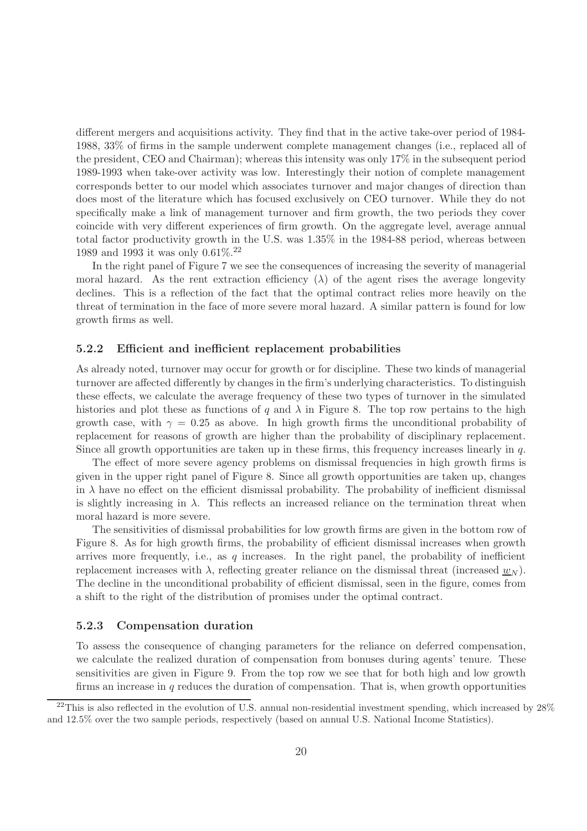different mergers and acquisitions activity. They find that in the active take-over period of 1984- 1988, 33% of firms in the sample underwent complete management changes (i.e., replaced all of the president, CEO and Chairman); whereas this intensity was only 17% in the subsequent period 1989-1993 when take-over activity was low. Interestingly their notion of complete management corresponds better to our model which associates turnover and major changes of direction than does most of the literature which has focused exclusively on CEO turnover. While they do not specifically make a link of management turnover and firm growth, the two periods they cover coincide with very different experiences of firm growth. On the aggregate level, average annual total factor productivity growth in the U.S. was 1.35% in the 1984-88 period, whereas between 1989 and 1993 it was only 0.61%.<sup>22</sup>

In the right panel of Figure 7 we see the consequences of increasing the severity of managerial moral hazard. As the rent extraction efficiency  $(\lambda)$  of the agent rises the average longevity declines. This is a reflection of the fact that the optimal contract relies more heavily on the threat of termination in the face of more severe moral hazard. A similar pattern is found for low growth firms as well.

#### 5.2.2 Efficient and inefficient replacement probabilities

As already noted, turnover may occur for growth or for discipline. These two kinds of managerial turnover are affected differently by changes in the firm's underlying characteristics. To distinguish these effects, we calculate the average frequency of these two types of turnover in the simulated histories and plot these as functions of q and  $\lambda$  in Figure 8. The top row pertains to the high growth case, with  $\gamma = 0.25$  as above. In high growth firms the unconditional probability of replacement for reasons of growth are higher than the probability of disciplinary replacement. Since all growth opportunities are taken up in these firms, this frequency increases linearly in  $q$ .

The effect of more severe agency problems on dismissal frequencies in high growth firms is given in the upper right panel of Figure 8. Since all growth opportunities are taken up, changes in  $\lambda$  have no effect on the efficient dismissal probability. The probability of inefficient dismissal is slightly increasing in  $\lambda$ . This reflects an increased reliance on the termination threat when moral hazard is more severe.

The sensitivities of dismissal probabilities for low growth firms are given in the bottom row of Figure 8. As for high growth firms, the probability of efficient dismissal increases when growth arrives more frequently, i.e., as q increases. In the right panel, the probability of inefficient replacement increases with  $\lambda$ , reflecting greater reliance on the dismissal threat (increased  $w_N$ ). The decline in the unconditional probability of efficient dismissal, seen in the figure, comes from a shift to the right of the distribution of promises under the optimal contract.

#### 5.2.3 Compensation duration

To assess the consequence of changing parameters for the reliance on deferred compensation, we calculate the realized duration of compensation from bonuses during agents' tenure. These sensitivities are given in Figure 9. From the top row we see that for both high and low growth firms an increase in  $q$  reduces the duration of compensation. That is, when growth opportunities

 $^{22}$ This is also reflected in the evolution of U.S. annual non-residential investment spending, which increased by  $28\%$ and 12.5% over the two sample periods, respectively (based on annual U.S. National Income Statistics).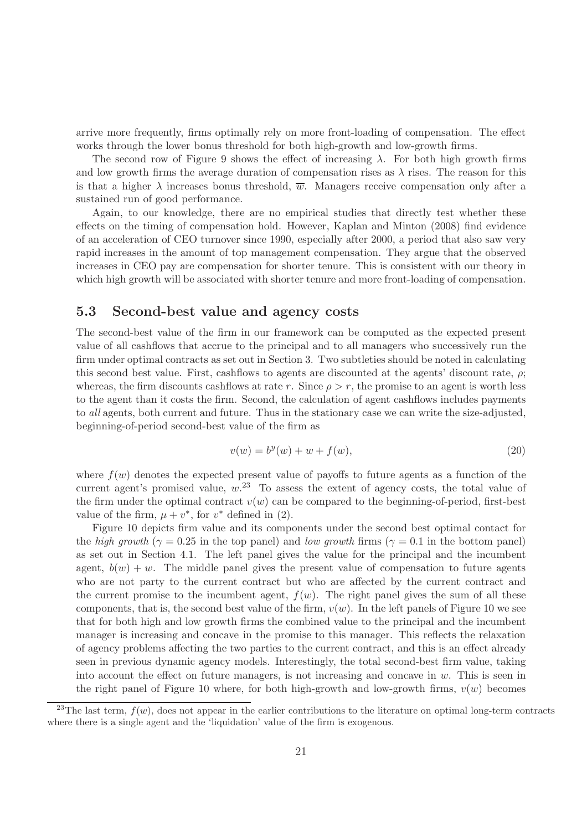arrive more frequently, firms optimally rely on more front-loading of compensation. The effect works through the lower bonus threshold for both high-growth and low-growth firms.

The second row of Figure 9 shows the effect of increasing  $\lambda$ . For both high growth firms and low growth firms the average duration of compensation rises as  $\lambda$  rises. The reason for this is that a higher  $\lambda$  increases bonus threshold,  $\overline{w}$ . Managers receive compensation only after a sustained run of good performance.

Again, to our knowledge, there are no empirical studies that directly test whether these effects on the timing of compensation hold. However, Kaplan and Minton (2008) find evidence of an acceleration of CEO turnover since 1990, especially after 2000, a period that also saw very rapid increases in the amount of top management compensation. They argue that the observed increases in CEO pay are compensation for shorter tenure. This is consistent with our theory in which high growth will be associated with shorter tenure and more front-loading of compensation.

### 5.3 Second-best value and agency costs

The second-best value of the firm in our framework can be computed as the expected present value of all cashflows that accrue to the principal and to all managers who successively run the firm under optimal contracts as set out in Section 3. Two subtleties should be noted in calculating this second best value. First, cashflows to agents are discounted at the agents' discount rate,  $\rho$ ; whereas, the firm discounts cashflows at rate r. Since  $\rho > r$ , the promise to an agent is worth less to the agent than it costs the firm. Second, the calculation of agent cashflows includes payments to *all* agents, both current and future. Thus in the stationary case we can write the size-adjusted, beginning-of-period second-best value of the firm as

$$
v(w) = b^y(w) + w + f(w),
$$
\n(20)

where  $f(w)$  denotes the expected present value of payoffs to future agents as a function of the current agent's promised value,  $w^{23}$  To assess the extent of agency costs, the total value of the firm under the optimal contract  $v(w)$  can be compared to the beginning-of-period, first-best value of the firm,  $\mu + v^*$ , for  $v^*$  defined in (2).

Figure 10 depicts firm value and its components under the second best optimal contact for the *high growth* ( $\gamma = 0.25$  in the top panel) and *low growth* firms ( $\gamma = 0.1$  in the bottom panel) as set out in Section 4.1. The left panel gives the value for the principal and the incumbent agent,  $b(w) + w$ . The middle panel gives the present value of compensation to future agents who are not party to the current contract but who are affected by the current contract and the current promise to the incumbent agent,  $f(w)$ . The right panel gives the sum of all these components, that is, the second best value of the firm,  $v(w)$ . In the left panels of Figure 10 we see that for both high and low growth firms the combined value to the principal and the incumbent manager is increasing and concave in the promise to this manager. This reflects the relaxation of agency problems affecting the two parties to the current contract, and this is an effect already seen in previous dynamic agency models. Interestingly, the total second-best firm value, taking into account the effect on future managers, is not increasing and concave in  $w$ . This is seen in the right panel of Figure 10 where, for both high-growth and low-growth firms,  $v(w)$  becomes

<sup>&</sup>lt;sup>23</sup>The last term,  $f(w)$ , does not appear in the earlier contributions to the literature on optimal long-term contracts where there is a single agent and the 'liquidation' value of the firm is exogenous.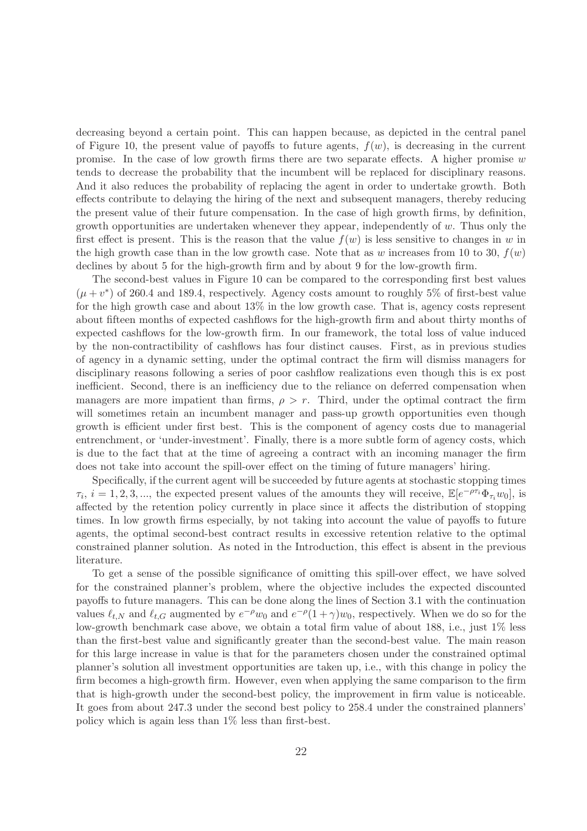decreasing beyond a certain point. This can happen because, as depicted in the central panel of Figure 10, the present value of payoffs to future agents,  $f(w)$ , is decreasing in the current promise. In the case of low growth firms there are two separate effects. A higher promise  $w$ tends to decrease the probability that the incumbent will be replaced for disciplinary reasons. And it also reduces the probability of replacing the agent in order to undertake growth. Both effects contribute to delaying the hiring of the next and subsequent managers, thereby reducing the present value of their future compensation. In the case of high growth firms, by definition, growth opportunities are undertaken whenever they appear, independently of  $w$ . Thus only the first effect is present. This is the reason that the value  $f(w)$  is less sensitive to changes in w in the high growth case than in the low growth case. Note that as w increases from 10 to 30,  $f(w)$ declines by about 5 for the high-growth firm and by about 9 for the low-growth firm.

The second-best values in Figure 10 can be compared to the corresponding first best values  $(\mu + v^*)$  of 260.4 and 189.4, respectively. Agency costs amount to roughly 5% of first-best value for the high growth case and about 13% in the low growth case. That is, agency costs represent about fifteen months of expected cashflows for the high-growth firm and about thirty months of expected cashflows for the low-growth firm. In our framework, the total loss of value induced by the non-contractibility of cashflows has four distinct causes. First, as in previous studies of agency in a dynamic setting, under the optimal contract the firm will dismiss managers for disciplinary reasons following a series of poor cashflow realizations even though this is ex post inefficient. Second, there is an inefficiency due to the reliance on deferred compensation when managers are more impatient than firms,  $\rho > r$ . Third, under the optimal contract the firm will sometimes retain an incumbent manager and pass-up growth opportunities even though growth is efficient under first best. This is the component of agency costs due to managerial entrenchment, or 'under-investment'. Finally, there is a more subtle form of agency costs, which is due to the fact that at the time of agreeing a contract with an incoming manager the firm does not take into account the spill-over effect on the timing of future managers' hiring.

Specifically, if the current agent will be succeeded by future agents at stochastic stopping times  $\tau_i$ ,  $i = 1, 2, 3, \dots$ , the expected present values of the amounts they will receive,  $\mathbb{E}[e^{-\rho \tau_i} \Phi_{\tau_i} w_0]$ , is affected by the retention policy currently in place since it affects the distribution of stopping times. In low growth firms especially, by not taking into account the value of payoffs to future agents, the optimal second-best contract results in excessive retention relative to the optimal constrained planner solution. As noted in the Introduction, this effect is absent in the previous literature.

To get a sense of the possible significance of omitting this spill-over effect, we have solved for the constrained planner's problem, where the objective includes the expected discounted payoffs to future managers. This can be done along the lines of Section 3.1 with the continuation values  $\ell_{t,N}$  and  $\ell_{t,G}$  augmented by  $e^{-\rho}w_0$  and  $e^{-\rho}(1+\gamma)w_0$ , respectively. When we do so for the low-growth benchmark case above, we obtain a total firm value of about 188, i.e., just 1% less than the first-best value and significantly greater than the second-best value. The main reason for this large increase in value is that for the parameters chosen under the constrained optimal planner's solution all investment opportunities are taken up, i.e., with this change in policy the firm becomes a high-growth firm. However, even when applying the same comparison to the firm that is high-growth under the second-best policy, the improvement in firm value is noticeable. It goes from about 247.3 under the second best policy to 258.4 under the constrained planners' policy which is again less than 1% less than first-best.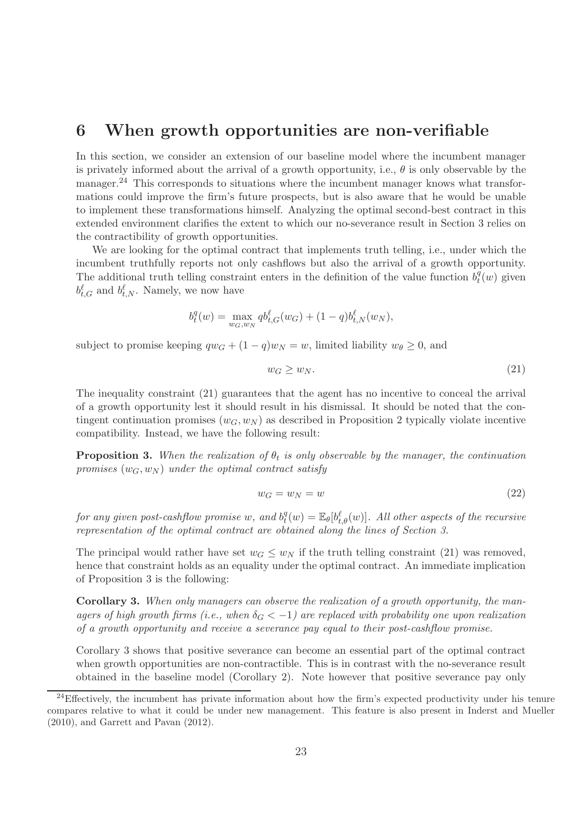## 6 When growth opportunities are non-verifiable

In this section, we consider an extension of our baseline model where the incumbent manager is privately informed about the arrival of a growth opportunity, i.e.,  $\theta$  is only observable by the manager.<sup>24</sup> This corresponds to situations where the incumbent manager knows what transformations could improve the firm's future prospects, but is also aware that he would be unable to implement these transformations himself. Analyzing the optimal second-best contract in this extended environment clarifies the extent to which our no-severance result in Section 3 relies on the contractibility of growth opportunities.

We are looking for the optimal contract that implements truth telling, i.e., under which the incumbent truthfully reports not only cashflows but also the arrival of a growth opportunity. The additional truth telling constraint enters in the definition of the value function  $b_t^q$  ${}_{t}^{q}(w)$  given  $b_{t,G}^{\ell}$  and  $b_{t,N}^{\ell}$ . Namely, we now have

$$
b_t^q(w) = \max_{w_G, w_N} q b_{t,G}^{\ell}(w_G) + (1-q) b_{t,N}^{\ell}(w_N),
$$

subject to promise keeping  $qw_G + (1 - q)w_N = w$ , limited liability  $w_\theta \geq 0$ , and

$$
w_G \ge w_N. \tag{21}
$$

The inequality constraint (21) guarantees that the agent has no incentive to conceal the arrival of a growth opportunity lest it should result in his dismissal. It should be noted that the contingent continuation promises  $(w_G, w_N)$  as described in Proposition 2 typically violate incentive compatibility. Instead, we have the following result:

**Proposition 3.** When the realization of  $\theta_t$  is only observable by the manager, the continuation *promises*  $(w_G, w_N)$  *under the optimal contract satisfy* 

$$
w_G = w_N = w \tag{22}
$$

 $for any given post-cashflow~promise~w,~and~b_t^q$  $t^q_t(w) = \mathbb{E}_{\theta}[b_{t,\theta}^{\ell}(w)]$ . All other aspects of the recursive *representation of the optimal contract are obtained along the lines of Section 3.*

The principal would rather have set  $w_G \leq w_N$  if the truth telling constraint (21) was removed, hence that constraint holds as an equality under the optimal contract. An immediate implication of Proposition 3 is the following:

Corollary 3. *When only managers can observe the realization of a growth opportunity, the managers of high growth firms (i.e., when*  $\delta_G < -1$ ) are replaced with probability one upon realization *of a growth opportunity and receive a severance pay equal to their post-cashflow promise.*

Corollary 3 shows that positive severance can become an essential part of the optimal contract when growth opportunities are non-contractible. This is in contrast with the no-severance result obtained in the baseline model (Corollary 2). Note however that positive severance pay only

<sup>&</sup>lt;sup>24</sup>Effectively, the incumbent has private information about how the firm's expected productivity under his tenure compares relative to what it could be under new management. This feature is also present in Inderst and Mueller (2010), and Garrett and Pavan (2012).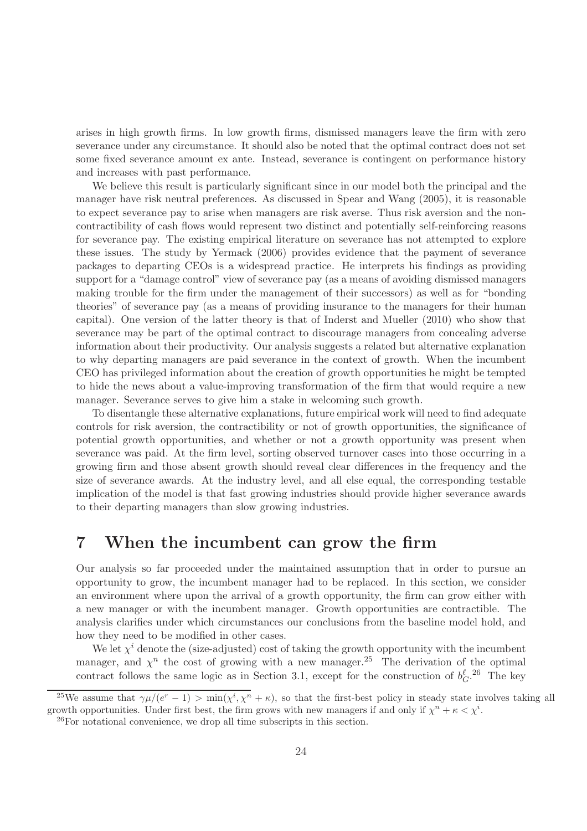arises in high growth firms. In low growth firms, dismissed managers leave the firm with zero severance under any circumstance. It should also be noted that the optimal contract does not set some fixed severance amount ex ante. Instead, severance is contingent on performance history and increases with past performance.

We believe this result is particularly significant since in our model both the principal and the manager have risk neutral preferences. As discussed in Spear and Wang (2005), it is reasonable to expect severance pay to arise when managers are risk averse. Thus risk aversion and the noncontractibility of cash flows would represent two distinct and potentially self-reinforcing reasons for severance pay. The existing empirical literature on severance has not attempted to explore these issues. The study by Yermack (2006) provides evidence that the payment of severance packages to departing CEOs is a widespread practice. He interprets his findings as providing support for a "damage control" view of severance pay (as a means of avoiding dismissed managers making trouble for the firm under the management of their successors) as well as for "bonding theories" of severance pay (as a means of providing insurance to the managers for their human capital). One version of the latter theory is that of Inderst and Mueller (2010) who show that severance may be part of the optimal contract to discourage managers from concealing adverse information about their productivity. Our analysis suggests a related but alternative explanation to why departing managers are paid severance in the context of growth. When the incumbent CEO has privileged information about the creation of growth opportunities he might be tempted to hide the news about a value-improving transformation of the firm that would require a new manager. Severance serves to give him a stake in welcoming such growth.

To disentangle these alternative explanations, future empirical work will need to find adequate controls for risk aversion, the contractibility or not of growth opportunities, the significance of potential growth opportunities, and whether or not a growth opportunity was present when severance was paid. At the firm level, sorting observed turnover cases into those occurring in a growing firm and those absent growth should reveal clear differences in the frequency and the size of severance awards. At the industry level, and all else equal, the corresponding testable implication of the model is that fast growing industries should provide higher severance awards to their departing managers than slow growing industries.

# 7 When the incumbent can grow the firm

Our analysis so far proceeded under the maintained assumption that in order to pursue an opportunity to grow, the incumbent manager had to be replaced. In this section, we consider an environment where upon the arrival of a growth opportunity, the firm can grow either with a new manager or with the incumbent manager. Growth opportunities are contractible. The analysis clarifies under which circumstances our conclusions from the baseline model hold, and how they need to be modified in other cases.

We let  $\chi^i$  denote the (size-adjusted) cost of taking the growth opportunity with the incumbent manager, and  $\chi^n$  the cost of growing with a new manager.<sup>25</sup> The derivation of the optimal contract follows the same logic as in Section 3.1, except for the construction of  $b_G^{\ell}$ . The key

<sup>&</sup>lt;sup>25</sup>We assume that  $\gamma\mu/(e^r-1) > \min(\chi^i, \chi^n + \kappa)$ , so that the first-best policy in steady state involves taking all growth opportunities. Under first best, the firm grows with new managers if and only if  $\chi^n + \kappa < \chi^i$ .

 $^{26}$ For notational convenience, we drop all time subscripts in this section.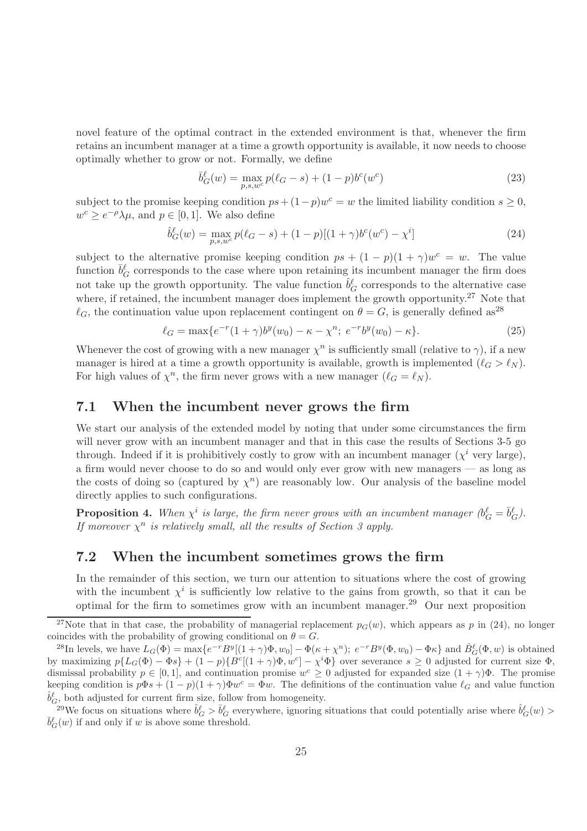novel feature of the optimal contract in the extended environment is that, whenever the firm retains an incumbent manager at a time a growth opportunity is available, it now needs to choose optimally whether to grow or not. Formally, we define

$$
\bar{b}_{G}^{\ell}(w) = \max_{p,s,w^c} p(\ell_G - s) + (1 - p)b^c(w^c)
$$
\n(23)

subject to the promise keeping condition  $ps + (1-p)w^c = w$  the limited liability condition  $s \geq 0$ ,  $w^c \geq e^{-\rho} \lambda \mu$ , and  $p \in [0, 1]$ . We also define

$$
\hat{b}^{\ell}_G(w) = \max_{p,s,w^c} p(\ell_G - s) + (1 - p)[(1 + \gamma)b^c(w^c) - \chi^i]
$$
\n(24)

subject to the alternative promise keeping condition  $ps + (1 - p)(1 + \gamma)w^c = w$ . The value function  $\bar{b}^{\ell}_{G}$  corresponds to the case where upon retaining its incumbent manager the firm does not take up the growth opportunity. The value function  $\hat{b}^{\ell}_G$  corresponds to the alternative case where, if retained, the incumbent manager does implement the growth opportunity.<sup>27</sup> Note that  $\ell_G$ , the continuation value upon replacement contingent on  $\theta = G$ , is generally defined as<sup>28</sup>

$$
\ell_G = \max\{e^{-r}(1+\gamma)b^y(w_0) - \kappa - \chi^n; \ e^{-r}b^y(w_0) - \kappa\}.
$$
\n(25)

Whenever the cost of growing with a new manager  $\chi^n$  is sufficiently small (relative to  $\gamma$ ), if a new manager is hired at a time a growth opportunity is available, growth is implemented  $(\ell_G > \ell_N)$ . For high values of  $\chi^n$ , the firm never grows with a new manager  $(\ell_G = \ell_N)$ .

#### 7.1 When the incumbent never grows the firm

We start our analysis of the extended model by noting that under some circumstances the firm will never grow with an incumbent manager and that in this case the results of Sections 3-5 go through. Indeed if it is prohibitively costly to grow with an incumbent manager  $(\chi^i$  very large), a firm would never choose to do so and would only ever grow with new managers — as long as the costs of doing so (captured by  $\chi^n$ ) are reasonably low. Our analysis of the baseline model directly applies to such configurations.

**Proposition 4.** When  $\chi^i$  is large, the firm never grows with an incumbent manager  $(b_G^{\ell} = \bar{b}_G^{\ell})$ . *If moreover*  $\chi^n$  *is relatively small, all the results of Section 3 apply.* 

## 7.2 When the incumbent sometimes grows the firm

In the remainder of this section, we turn our attention to situations where the cost of growing with the incumbent  $\chi^i$  is sufficiently low relative to the gains from growth, so that it can be optimal for the firm to sometimes grow with an incumbent manager.<sup>29</sup> Our next proposition

<sup>&</sup>lt;sup>27</sup>Note that in that case, the probability of managerial replacement  $p_G(w)$ , which appears as p in (24), no longer coincides with the probability of growing conditional on  $\theta = G$ .

<sup>&</sup>lt;sup>28</sup>In levels, we have  $L_G(\Phi) = \max\{e^{-r}B^y[(1+\gamma)\Phi, w_0] - \Phi(\kappa + \chi^n); e^{-r}B^y(\Phi, w_0) - \Phi\kappa\}$  and  $\hat{B}_G^{\ell}(\Phi, w)$  is obtained by maximizing  $p\{L_G(\Phi) - \Phi s\} + (1-p)\{B^c[(1+\gamma)\Phi, w^c] - \chi^i\Phi\}$  over severance  $s \geq 0$  adjusted for current size  $\Phi$ , dismissal probability  $p \in [0,1]$ , and continuation promise  $w^c \geq 0$  adjusted for expanded size  $(1+\gamma)\Phi$ . The promise keeping condition is  $p\Phi s + (1-p)(1+\gamma)\Phi w^c = \Phi w$ . The definitions of the continuation value  $\ell_G$  and value function  $\hat{b}^{\ell}_G$  both adjusted for current firm size, follow from homogeneity.

<sup>&</sup>lt;sup>29</sup>We focus on situations where  $\hat{b}^{\ell}_G > \bar{b}^{\ell}_G$  everywhere, ignoring situations that could potentially arise where  $\hat{b}^{\ell}_G(w)$  $\overline{b}_{G}^{\ell}(w)$  if and only if w is above some threshold.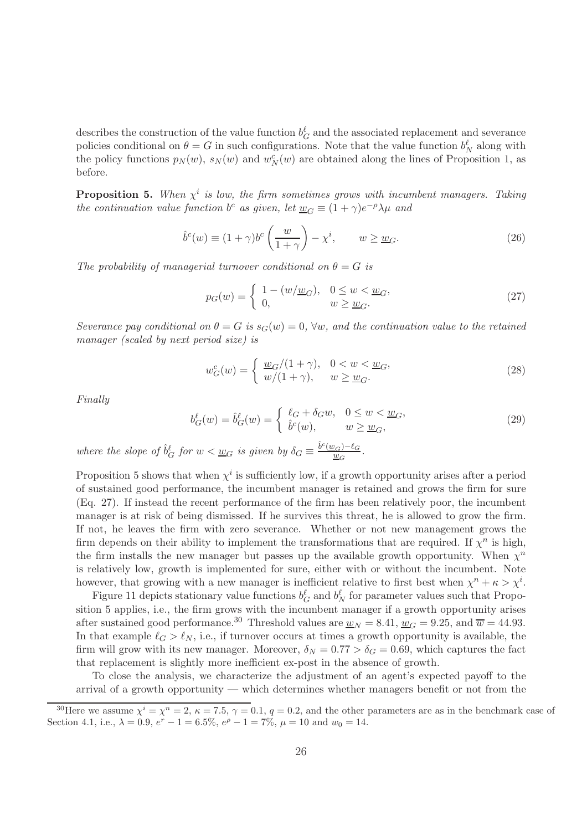describes the construction of the value function  $b_G^{\ell}$  and the associated replacement and severance policies conditional on  $\theta = G$  in such configurations. Note that the value function  $b_N^{\ell}$  along with the policy functions  $p_N(w)$ ,  $s_N(w)$  and  $w_N^c(w)$  are obtained along the lines of Proposition 1, as before.

**Proposition 5.** When  $\chi^i$  is low, the firm sometimes grows with incumbent managers. Taking *the continuation value function*  $b^c$  *as given, let*  $\underline{w}_G \equiv (1 + \gamma)e^{-\rho}\lambda\mu$  *and* 

$$
\hat{b}^c(w) \equiv (1+\gamma)b^c\left(\frac{w}{1+\gamma}\right) - \chi^i, \qquad w \ge \underline{w}_G. \tag{26}
$$

*The probability of managerial turnover conditional on*  $\theta = G$  *is* 

$$
p_G(w) = \begin{cases} 1 - (w/\underline{w}_G), & 0 \le w < \underline{w}_G, \\ 0, & w \ge \underline{w}_G. \end{cases}
$$
 (27)

*Severance pay conditional on*  $\theta = G$  *is*  $s_G(w) = 0$ ,  $\forall w$ *, and the continuation value to the retained manager (scaled by next period size) is*

$$
w_G^c(w) = \begin{cases} \frac{w_G}{1 + \gamma}, & 0 < w < \frac{w_G}{1}, \\ w/(1 + \gamma)}, & w \ge \frac{w_G}{1}.\end{cases}
$$
\n(28)

*Finally*

$$
b_G^{\ell}(w) = \hat{b}_G^{\ell}(w) = \begin{cases} \ell_G + \delta_G w, & 0 \le w < \underline{w}_G, \\ \hat{b}^c(w), & w \ge \underline{w}_G, \end{cases}
$$
(29)

where the slope of  $\hat{b}^{\ell}_G$  for  $w < \underline{w}_G$  is given by  $\delta_G \equiv \frac{\hat{b}^c(\underline{w}_G)-\ell_G}{w_G}$  $\frac{w_G-\epsilon_G}{w_G}$ .

Proposition 5 shows that when  $\chi^i$  is sufficiently low, if a growth opportunity arises after a period of sustained good performance, the incumbent manager is retained and grows the firm for sure (Eq. 27). If instead the recent performance of the firm has been relatively poor, the incumbent manager is at risk of being dismissed. If he survives this threat, he is allowed to grow the firm. If not, he leaves the firm with zero severance. Whether or not new management grows the firm depends on their ability to implement the transformations that are required. If  $\chi^n$  is high, the firm installs the new manager but passes up the available growth opportunity. When  $\chi^n$ is relatively low, growth is implemented for sure, either with or without the incumbent. Note however, that growing with a new manager is inefficient relative to first best when  $\chi^n + \kappa > \chi^i$ .

Figure 11 depicts stationary value functions  $b_G^{\ell}$  and  $b_N^{\ell}$  for parameter values such that Proposition 5 applies, i.e., the firm grows with the incumbent manager if a growth opportunity arises after sustained good performance.<sup>30</sup> Threshold values are  $\underline{w}_N = 8.41$ ,  $\underline{w}_G = 9.25$ , and  $\overline{w} = 44.93$ . In that example  $\ell_G > \ell_N$ , i.e., if turnover occurs at times a growth opportunity is available, the firm will grow with its new manager. Moreover,  $\delta_N = 0.77 > \delta_G = 0.69$ , which captures the fact that replacement is slightly more inefficient ex-post in the absence of growth.

To close the analysis, we characterize the adjustment of an agent's expected payoff to the arrival of a growth opportunity — which determines whether managers benefit or not from the

<sup>&</sup>lt;sup>30</sup>Here we assume  $\chi^{i} = \chi^{n} = 2$ ,  $\kappa = 7.5$ ,  $\gamma = 0.1$ ,  $q = 0.2$ , and the other parameters are as in the benchmark case of Section 4.1, i.e.,  $\lambda = 0.9$ ,  $e^r - 1 = 6.5\%$ ,  $e^{\rho} - 1 = 7\%$ ,  $\mu = 10$  and  $w_0 = 14$ .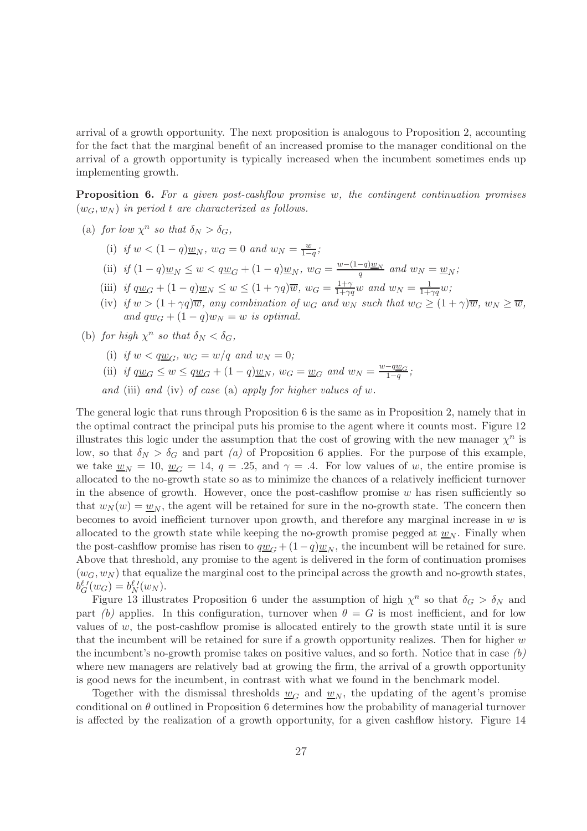arrival of a growth opportunity. The next proposition is analogous to Proposition 2, accounting for the fact that the marginal benefit of an increased promise to the manager conditional on the arrival of a growth opportunity is typically increased when the incumbent sometimes ends up implementing growth.

Proposition 6. *For a given post-cashflow promise* w*, the contingent continuation promises*  $(w_G, w_N)$  *in period* t are characterized as follows.

- (a) *for low*  $\chi^n$  *so that*  $\delta_N > \delta_G$ ,
	- (i) if  $w < (1 q) \underline{w}_N$ ,  $w_G = 0$  and  $w_N = \frac{w}{1 q}$  $\frac{w}{1-q}$ ;
	- (ii) *if*  $(1 q)w_N \leq w < qw_G + (1 q)w_N$ ,  $w_G = \frac{w (1 q)w_N}{q}$  and  $w_N = w_N$ ;
	- (iii) *if*  $q\underline{w}_G + (1-q)\underline{w}_N \leq w \leq (1+\gamma q)\overline{w}$ ,  $w_G = \frac{1+\gamma}{1+\gamma q}$  $\frac{1+\gamma}{1+\gamma q}w$  and  $w_N = \frac{1}{1+\gamma q}w;$
	- (iv) *if*  $w > (1 + \gamma q)\overline{w}$ *, any combination of*  $w_G$  *and*  $w_N$  *such that*  $w_G \geq (1 + \gamma)\overline{w}$ *,*  $w_N \geq \overline{w}$ *, and*  $qw_G + (1-q)w_N = w$  *is optimal.*
- (b) *for high*  $\chi^n$  *so that*  $\delta_N < \delta_G$ ,
	- (i) *if*  $w < q w_G$ ,  $w_G = w/q$  *and*  $w_N = 0$ ;
	- (ii) *if*  $q\underline{w}_G \leq w \leq q\underline{w}_G + (1-q)\underline{w}_N$ ,  $w_G = \underline{w}_G$  and  $w_N = \frac{w-q\underline{w}_G}{1-q}$ ;

*and* (iii) *and* (iv) *of case* (a) *apply for higher values of* w*.*

The general logic that runs through Proposition 6 is the same as in Proposition 2, namely that in the optimal contract the principal puts his promise to the agent where it counts most. Figure 12 illustrates this logic under the assumption that the cost of growing with the new manager  $\chi^n$  is low, so that  $\delta_N > \delta_G$  and part *(a)* of Proposition 6 applies. For the purpose of this example, we take  $w_N = 10$ ,  $w_G = 14$ ,  $q = .25$ , and  $\gamma = .4$ . For low values of w, the entire promise is allocated to the no-growth state so as to minimize the chances of a relatively inefficient turnover in the absence of growth. However, once the post-cashflow promise  $w$  has risen sufficiently so that  $w_N(w) = \underline{w}_N$ , the agent will be retained for sure in the no-growth state. The concern then becomes to avoid inefficient turnover upon growth, and therefore any marginal increase in  $w$  is allocated to the growth state while keeping the no-growth promise pegged at  $\underline{w}_N$ . Finally when the post-cashflow promise has risen to  $q\underline{w}_G + (1-q)\underline{w}_N$ , the incumbent will be retained for sure. Above that threshold, any promise to the agent is delivered in the form of continuation promises  $(w_G, w_N)$  that equalize the marginal cost to the principal across the growth and no-growth states,  $b_G^{\ell}{}'(w_G) = b_N^{\ell}{}'(w_N).$ 

Figure 13 illustrates Proposition 6 under the assumption of high  $\chi^n$  so that  $\delta_G > \delta_N$  and part *(b)* applies. In this configuration, turnover when  $\theta = G$  is most inefficient, and for low values of  $w$ , the post-cashflow promise is allocated entirely to the growth state until it is sure that the incumbent will be retained for sure if a growth opportunity realizes. Then for higher  $w$ the incumbent's no-growth promise takes on positive values, and so forth. Notice that in case *(b)* where new managers are relatively bad at growing the firm, the arrival of a growth opportunity is good news for the incumbent, in contrast with what we found in the benchmark model.

Together with the dismissal thresholds  $w_G$  and  $w_N$ , the updating of the agent's promise conditional on  $\theta$  outlined in Proposition 6 determines how the probability of managerial turnover is affected by the realization of a growth opportunity, for a given cashflow history. Figure 14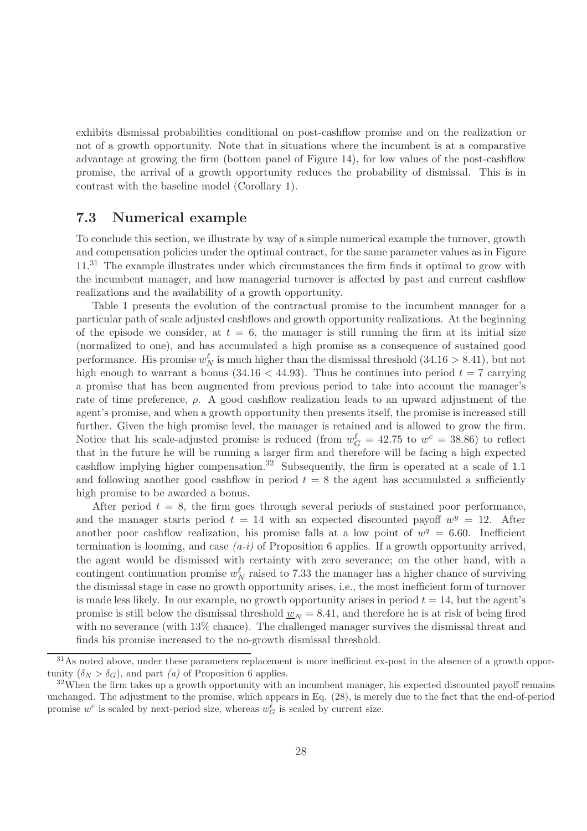exhibits dismissal probabilities conditional on post-cashflow promise and on the realization or not of a growth opportunity. Note that in situations where the incumbent is at a comparative advantage at growing the firm (bottom panel of Figure 14), for low values of the post-cashflow promise, the arrival of a growth opportunity reduces the probability of dismissal. This is in contrast with the baseline model (Corollary 1).

### 7.3 Numerical example

To conclude this section, we illustrate by way of a simple numerical example the turnover, growth and compensation policies under the optimal contract, for the same parameter values as in Figure  $11<sup>31</sup>$  The example illustrates under which circumstances the firm finds it optimal to grow with the incumbent manager, and how managerial turnover is affected by past and current cashflow realizations and the availability of a growth opportunity.

Table 1 presents the evolution of the contractual promise to the incumbent manager for a particular path of scale adjusted cashflows and growth opportunity realizations. At the beginning of the episode we consider, at  $t = 6$ , the manager is still running the firm at its initial size (normalized to one), and has accumulated a high promise as a consequence of sustained good performance. His promise  $w_N^{\ell}$  is much higher than the dismissal threshold  $(34.16 > 8.41)$ , but not high enough to warrant a bonus (34.16  $\lt$  44.93). Thus he continues into period  $t = 7$  carrying a promise that has been augmented from previous period to take into account the manager's rate of time preference,  $\rho$ . A good cashflow realization leads to an upward adjustment of the agent's promise, and when a growth opportunity then presents itself, the promise is increased still further. Given the high promise level, the manager is retained and is allowed to grow the firm. Notice that his scale-adjusted promise is reduced (from  $w_G^{\ell} = 42.75$  to  $w^c = 38.86$ ) to reflect that in the future he will be running a larger firm and therefore will be facing a high expected cashflow implying higher compensation.<sup>32</sup> Subsequently, the firm is operated at a scale of 1.1 and following another good cashflow in period  $t = 8$  the agent has accumulated a sufficiently high promise to be awarded a bonus.

After period  $t = 8$ , the firm goes through several periods of sustained poor performance, and the manager starts period  $t = 14$  with an expected discounted payoff  $w<sup>y</sup> = 12$ . After another poor cashflow realization, his promise falls at a low point of  $w^q = 6.60$ . Inefficient termination is looming, and case  $(a-i)$  of Proposition 6 applies. If a growth opportunity arrived, the agent would be dismissed with certainty with zero severance; on the other hand, with a contingent continuation promise  $w_N^{\ell}$  raised to 7.33 the manager has a higher chance of surviving the dismissal stage in case no growth opportunity arises, i.e., the most inefficient form of turnover is made less likely. In our example, no growth opportunity arises in period  $t = 14$ , but the agent's promise is still below the dismissal threshold  $\underline{w}_N = 8.41$ , and therefore he is at risk of being fired with no severance (with 13% chance). The challenged manager survives the dismissal threat and finds his promise increased to the no-growth dismissal threshold.

<sup>&</sup>lt;sup>31</sup>As noted above, under these parameters replacement is more inefficient ex-post in the absence of a growth opportunity  $(\delta_N > \delta_G)$ , and part *(a)* of Proposition 6 applies.

 $32$ When the firm takes up a growth opportunity with an incumbent manager, his expected discounted payoff remains unchanged. The adjustment to the promise, which appears in Eq. (28), is merely due to the fact that the end-of-period promise  $w^c$  is scaled by next-period size, whereas  $w_G^{\ell}$  is scaled by current size.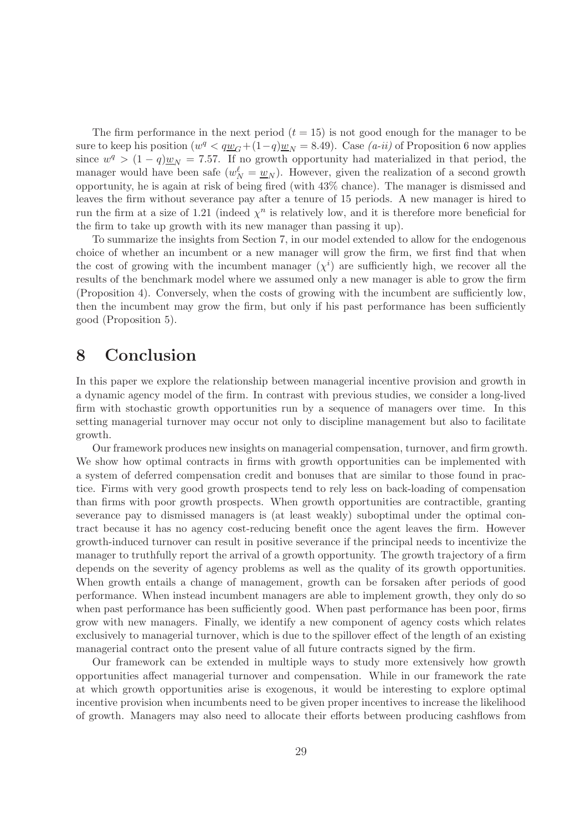The firm performance in the next period  $(t = 15)$  is not good enough for the manager to be sure to keep his position  $(w^q < q\underline{w}_G + (1-q)\underline{w}_N = 8.49)$ . Case  $(a\text{-}ii)$  of Proposition 6 now applies since  $w^q > (1 - q) \underline{w}_N = 7.57$ . If no growth opportunity had materialized in that period, the manager would have been safe  $(w_N^{\ell} = \underline{w}_N)$ . However, given the realization of a second growth opportunity, he is again at risk of being fired (with 43% chance). The manager is dismissed and leaves the firm without severance pay after a tenure of 15 periods. A new manager is hired to run the firm at a size of 1.21 (indeed  $\chi^n$  is relatively low, and it is therefore more beneficial for the firm to take up growth with its new manager than passing it up).

To summarize the insights from Section 7, in our model extended to allow for the endogenous choice of whether an incumbent or a new manager will grow the firm, we first find that when the cost of growing with the incumbent manager  $(\chi^i)$  are sufficiently high, we recover all the results of the benchmark model where we assumed only a new manager is able to grow the firm (Proposition 4). Conversely, when the costs of growing with the incumbent are sufficiently low, then the incumbent may grow the firm, but only if his past performance has been sufficiently good (Proposition 5).

# 8 Conclusion

In this paper we explore the relationship between managerial incentive provision and growth in a dynamic agency model of the firm. In contrast with previous studies, we consider a long-lived firm with stochastic growth opportunities run by a sequence of managers over time. In this setting managerial turnover may occur not only to discipline management but also to facilitate growth.

Our framework produces new insights on managerial compensation, turnover, and firm growth. We show how optimal contracts in firms with growth opportunities can be implemented with a system of deferred compensation credit and bonuses that are similar to those found in practice. Firms with very good growth prospects tend to rely less on back-loading of compensation than firms with poor growth prospects. When growth opportunities are contractible, granting severance pay to dismissed managers is (at least weakly) suboptimal under the optimal contract because it has no agency cost-reducing benefit once the agent leaves the firm. However growth-induced turnover can result in positive severance if the principal needs to incentivize the manager to truthfully report the arrival of a growth opportunity. The growth trajectory of a firm depends on the severity of agency problems as well as the quality of its growth opportunities. When growth entails a change of management, growth can be forsaken after periods of good performance. When instead incumbent managers are able to implement growth, they only do so when past performance has been sufficiently good. When past performance has been poor, firms grow with new managers. Finally, we identify a new component of agency costs which relates exclusively to managerial turnover, which is due to the spillover effect of the length of an existing managerial contract onto the present value of all future contracts signed by the firm.

Our framework can be extended in multiple ways to study more extensively how growth opportunities affect managerial turnover and compensation. While in our framework the rate at which growth opportunities arise is exogenous, it would be interesting to explore optimal incentive provision when incumbents need to be given proper incentives to increase the likelihood of growth. Managers may also need to allocate their efforts between producing cashflows from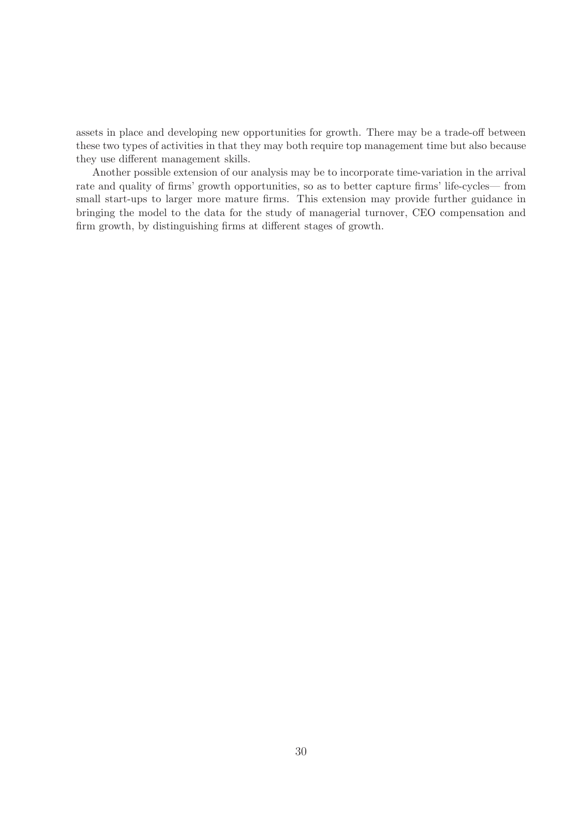assets in place and developing new opportunities for growth. There may be a trade-off between these two types of activities in that they may both require top management time but also because they use different management skills.

Another possible extension of our analysis may be to incorporate time-variation in the arrival rate and quality of firms' growth opportunities, so as to better capture firms' life-cycles— from small start-ups to larger more mature firms. This extension may provide further guidance in bringing the model to the data for the study of managerial turnover, CEO compensation and firm growth, by distinguishing firms at different stages of growth.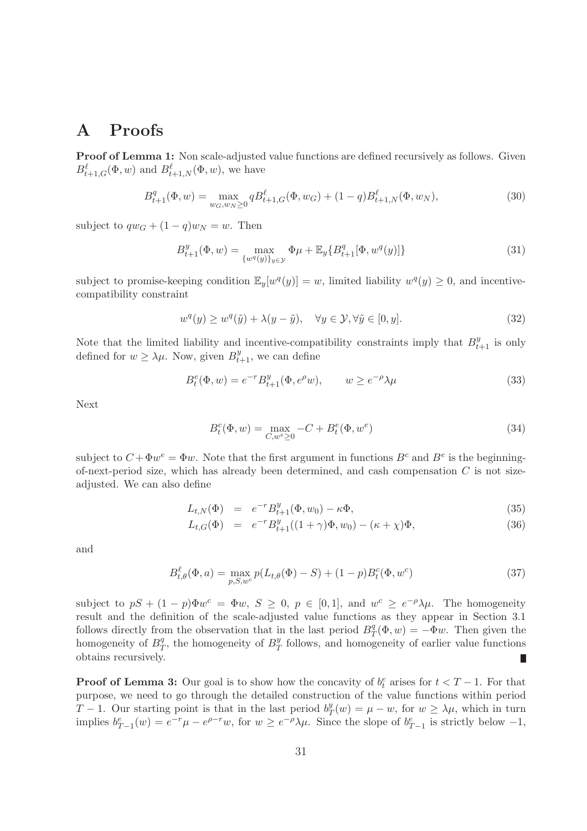# A Proofs

Proof of Lemma 1: Non scale-adjusted value functions are defined recursively as follows. Given  $B_{t+1,G}^{\ell}(\Phi, w)$  and  $B_{t+1,N}^{\ell}(\Phi, w)$ , we have

$$
B_{t+1}^q(\Phi, w) = \max_{w_G, w_N \ge 0} q B_{t+1,G}^\ell(\Phi, w_G) + (1-q) B_{t+1,N}^\ell(\Phi, w_N),
$$
\n(30)

subject to  $qw_G + (1-q)w_N = w$ . Then

$$
B_{t+1}^y(\Phi, w) = \max_{\{w^q(y)\}_{y \in \mathcal{Y}}} \Phi \mu + \mathbb{E}_y \{ B_{t+1}^q[\Phi, w^q(y)] \}
$$
(31)

subject to promise-keeping condition  $\mathbb{E}_y[w^q(y)] = w$ , limited liability  $w^q(y) \geq 0$ , and incentivecompatibility constraint

$$
w^{q}(y) \ge w^{q}(\tilde{y}) + \lambda(y - \tilde{y}), \quad \forall y \in \mathcal{Y}, \forall \tilde{y} \in [0, y].
$$
\n(32)

Note that the limited liability and incentive-compatibility constraints imply that  $B_{t+1}^y$  is only defined for  $w \geq \lambda \mu$ . Now, given  $B_{t+1}^y$ , we can define

$$
B_t^e(\Phi, w) = e^{-r} B_{t+1}^y(\Phi, e^{\rho} w), \qquad w \ge e^{-\rho} \lambda \mu
$$
\n(33)

Next

$$
B_t^c(\Phi, w) = \max_{C, w^e \ge 0} -C + B_t^e(\Phi, w^e)
$$
\n(34)

subject to  $C + \Phi w^e = \Phi w$ . Note that the first argument in functions  $B^c$  and  $B^e$  is the beginningof-next-period size, which has already been determined, and cash compensation  $C$  is not sizeadjusted. We can also define

$$
L_{t,N}(\Phi) = e^{-r} B_{t+1}^y(\Phi, w_0) - \kappa \Phi,
$$
\n(35)

$$
L_{t,G}(\Phi) = e^{-r} B_{t+1}^y((1+\gamma)\Phi, w_0) - (\kappa + \chi)\Phi,
$$
\n(36)

and

$$
B_{t,\theta}^{\ell}(\Phi, a) = \max_{p,S,w} p(L_{t,\theta}(\Phi) - S) + (1 - p)B_t^c(\Phi, w^c)
$$
\n(37)

subject to  $pS + (1-p)\Phi w^c = \Phi w$ ,  $S \geq 0$ ,  $p \in [0,1]$ , and  $w^c \geq e^{-\rho}\lambda\mu$ . The homogeneity result and the definition of the scale-adjusted value functions as they appear in Section 3.1 follows directly from the observation that in the last period  $B_7^q$  $T^q(\Phi, w) = -\Phi w$ . Then given the homogeneity of  $B_7^q$  $T$ , the homogeneity of  $B_T^y$  $T<sub>T</sub><sup>y</sup>$  follows, and homogeneity of earlier value functions obtains recursively.

**Proof of Lemma 3:** Our goal is to show how the concavity of  $b_t^e$  arises for  $t < T - 1$ . For that purpose, we need to go through the detailed construction of the value functions within period  $T-1$ . Our starting point is that in the last period  $b_7^y$  $y(T(w) = \mu - w, \text{ for } w \ge \lambda \mu, \text{ which in turn})$ implies  $b_{T-1}^e(w) = e^{-r}\mu - e^{\rho-r}w$ , for  $w \ge e^{-\rho}\lambda\mu$ . Since the slope of  $b_{T-1}^e$  is strictly below  $-1$ ,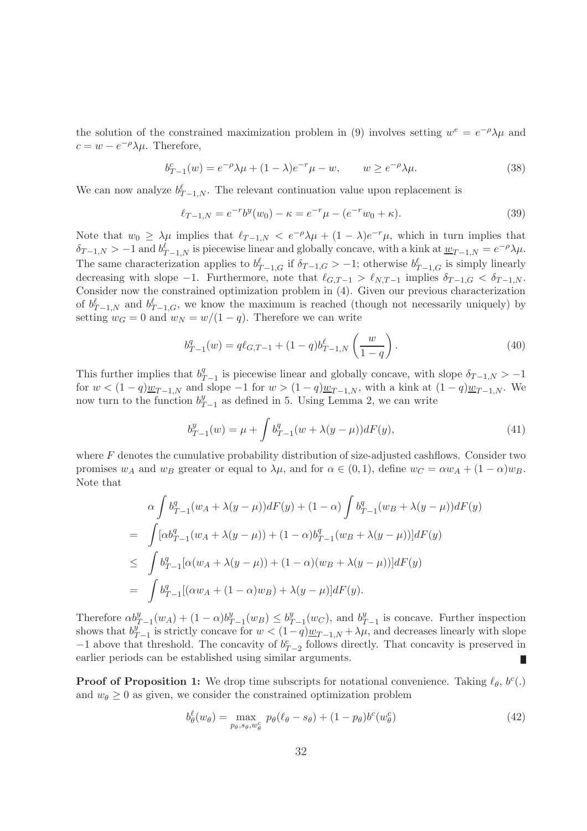the solution of the constrained maximization problem in (9) involves setting  $w^e = e^{-\rho}\lambda\mu$  and  $c = w - e^{-\rho} \lambda \mu$ . Therefore,

$$
b_{T-1}^c(w) = e^{-\rho} \lambda \mu + (1 - \lambda)e^{-r} \mu - w, \qquad w \ge e^{-\rho} \lambda \mu.
$$
 (38)

We can now analyze  $b_{T-1,N}^{\ell}$ . The relevant continuation value upon replacement is

$$
\ell_{T-1,N} = e^{-r} b^y(w_0) - \kappa = e^{-r} \mu - (e^{-r} w_0 + \kappa). \tag{39}
$$

Note that  $w_0 \ge \lambda \mu$  implies that  $\ell_{T-1,N} < e^{-\rho} \lambda \mu + (1-\lambda)e^{-r} \mu$ , which in turn implies that  $\delta_{T-1,N} > -1$  and  $b_{T-1,N}^{\ell}$  is piecewise linear and globally concave, with a kink at  $\underline{w}_{T-1,N} = e^{-\rho} \lambda \mu$ . The same characterization applies to  $b_{T-1,G}^{\ell}$  if  $\delta_{T-1,G} > -1$ ; otherwise  $b_{T-1,G}^{\ell}$  is simply linearly decreasing with slope −1. Furthermore, note that  $\ell_{G,T-1} > \ell_{N,T-1}$  implies  $\delta_{T-1,G} < \delta_{T-1,N}$ . Consider now the constrained optimization problem in (4). Given our previous characterization of  $b_{T-1,N}^{\ell}$  and  $b_{T-1,G}^{\ell}$ , we know the maximum is reached (though not necessarily uniquely) by setting  $w_G = 0$  and  $w_N = w/(1-q)$ . Therefore we can write

$$
b_{T-1}^q(w) = q\ell_{G,T-1} + (1-q)b_{T-1,N}^\ell\left(\frac{w}{1-q}\right). \tag{40}
$$

This further implies that  $b_7^q$  $T_{T-1}$  is piecewise linear and globally concave, with slope  $\delta_{T-1,N} > -1$ for  $w < (1 - q)w_{T-1,N}$  and slope  $-1$  for  $w > (1 - q)w_{T-1,N}$ , with a kink at  $(1 - q)w_{T-1,N}$ . We now turn to the function  $b^y_7$  $_{T-1}^y$  as defined in 5. Using Lemma 2, we can write

$$
b_{T-1}^y(w) = \mu + \int b_{T-1}^q(w + \lambda(y - \mu))dF(y), \tag{41}
$$

where  $F$  denotes the cumulative probability distribution of size-adjusted cashflows. Consider two promises  $w_A$  and  $w_B$  greater or equal to  $\lambda \mu$ , and for  $\alpha \in (0,1)$ , define  $w_C = \alpha w_A + (1-\alpha)w_B$ . Note that

$$
\alpha \int b_{T-1}^q (w_A + \lambda (y - \mu)) dF(y) + (1 - \alpha) \int b_{T-1}^q (w_B + \lambda (y - \mu)) dF(y)
$$
  
= 
$$
\int [\alpha b_{T-1}^q (w_A + \lambda (y - \mu)) + (1 - \alpha) b_{T-1}^q (w_B + \lambda (y - \mu))] dF(y)
$$
  

$$
\leq \int b_{T-1}^q [\alpha (w_A + \lambda (y - \mu)) + (1 - \alpha) (w_B + \lambda (y - \mu))] dF(y)
$$
  
= 
$$
\int b_{T-1}^q [(\alpha w_A + (1 - \alpha) w_B) + \lambda (y - \mu)] dF(y).
$$

Therefore  $\alpha b_{T-1}^y(w_A) + (1-\alpha)b_T^y$  $y_{T-1}^y(w_B) \leq b_T^y$  $y_{T-1}(w_C)$ , and  $b_T^y$  $y_{T-1}$  is concave. Further inspection shows that  $b^y_{\tau}$  $y_{T-1}^{y}$  is strictly concave for  $w < (1-q)\underline{w}_{T-1,N} + \lambda \mu$ , and decreases linearly with slope  $-1$  above that threshold. The concavity of  $b_{T-2}^e$  follows directly. That concavity is preserved in earlier periods can be established using similar arguments.

**Proof of Proposition 1:** We drop time subscripts for notational convenience. Taking  $\ell_{\theta}$ ,  $b^{c}(.)$ and  $w_{\theta} \geq 0$  as given, we consider the constrained optimization problem

$$
b_{\theta}^{\ell}(w_{\theta}) = \max_{p_{\theta}, s_{\theta}, w_{\theta}^c} p_{\theta}(\ell_{\theta} - s_{\theta}) + (1 - p_{\theta})b^c(w_{\theta}^c)
$$
(42)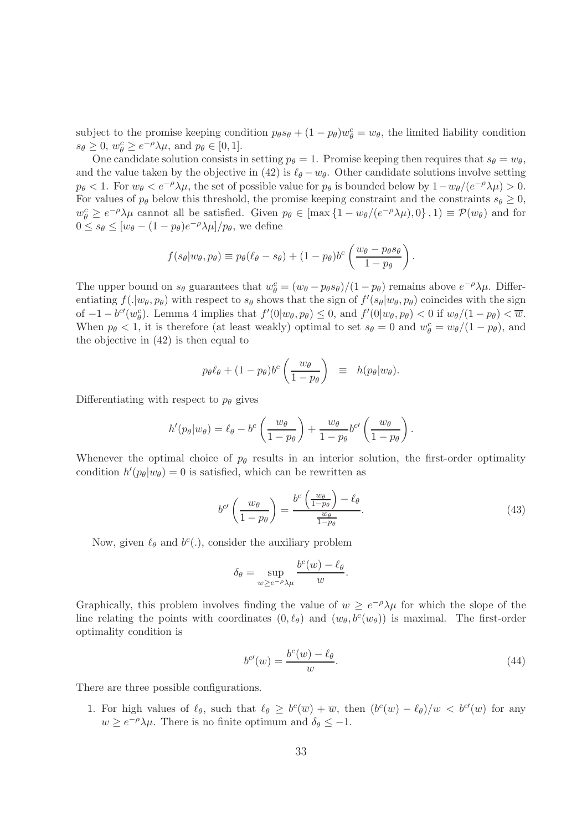subject to the promise keeping condition  $p_\theta s_\theta + (1 - p_\theta) w_\theta^c = w_\theta$ , the limited liability condition  $s_{\theta} \geq 0$ ,  $w_{\theta}^{c} \geq e^{-\rho} \lambda \mu$ , and  $p_{\theta} \in [0, 1]$ .

One candidate solution consists in setting  $p_{\theta} = 1$ . Promise keeping then requires that  $s_{\theta} = w_{\theta}$ , and the value taken by the objective in (42) is  $\ell_{\theta} - w_{\theta}$ . Other candidate solutions involve setting  $p_{\theta} < 1$ . For  $w_{\theta} < e^{-\rho}\lambda\mu$ , the set of possible value for  $p_{\theta}$  is bounded below by  $1 - w_{\theta}/(e^{-\rho}\lambda\mu) > 0$ . For values of  $p_\theta$  below this threshold, the promise keeping constraint and the constraints  $s_\theta \geq 0$ ,  $w_{\theta}^{c} \geq e^{-\rho}\lambda\mu$  cannot all be satisfied. Given  $p_{\theta} \in [\max\{1 - w_{\theta}/(e^{-\rho}\lambda\mu), 0\}, 1] \equiv \mathcal{P}(w_{\theta})$  and for  $0 \leq s_{\theta} \leq [w_{\theta} - (1 - p_{\theta})e^{-\rho}\lambda\mu]/p_{\theta}$ , we define

$$
f(s_{\theta}|w_{\theta}, p_{\theta}) \equiv p_{\theta}(\ell_{\theta} - s_{\theta}) + (1 - p_{\theta})b^{c}\left(\frac{w_{\theta} - p_{\theta}s_{\theta}}{1 - p_{\theta}}\right)
$$

The upper bound on  $s_{\theta}$  guarantees that  $w_{\theta}^{c} = (w_{\theta} - p_{\theta} s_{\theta})/(1 - p_{\theta})$  remains above  $e^{-\rho}\lambda\mu$ . Differentiating  $f(.|w_\theta, p_\theta)$  with respect to  $s_\theta$  shows that the sign of  $f'(s_\theta|w_\theta, p_\theta)$  coincides with the sign of  $-1-b^{\prime\prime}(w_{\theta}^c)$ . Lemma 4 implies that  $f'(0|w_{\theta}, p_{\theta}) \leq 0$ , and  $f'(0|w_{\theta}, p_{\theta}) < 0$  if  $w_{\theta}/(1-p_{\theta}) < \overline{w}$ . When  $p_{\theta} < 1$ , it is therefore (at least weakly) optimal to set  $s_{\theta} = 0$  and  $w_{\theta}^c = w_{\theta}/(1 - p_{\theta})$ , and the objective in (42) is then equal to

$$
p_{\theta} \ell_{\theta} + (1-p_{\theta}) b^{c} \left( \frac{w_{\theta}}{1-p_{\theta}} \right) \equiv h(p_{\theta}|w_{\theta}).
$$

Differentiating with respect to  $p_{\theta}$  gives

$$
h'(p_{\theta}|w_{\theta}) = \ell_{\theta} - b^{c}\left(\frac{w_{\theta}}{1-p_{\theta}}\right) + \frac{w_{\theta}}{1-p_{\theta}}b^{c'}\left(\frac{w_{\theta}}{1-p_{\theta}}\right).
$$

Whenever the optimal choice of  $p_\theta$  results in an interior solution, the first-order optimality condition  $h'(p_\theta|w_\theta) = 0$  is satisfied, which can be rewritten as

$$
b^{c'}\left(\frac{w_{\theta}}{1-p_{\theta}}\right) = \frac{b^{c}\left(\frac{w_{\theta}}{1-p_{\theta}}\right) - \ell_{\theta}}{\frac{w_{\theta}}{1-p_{\theta}}}.
$$
\n(43)

.

Now, given  $\ell_{\theta}$  and  $b^{c}(.)$ , consider the auxiliary problem

$$
\delta_{\theta} = \sup_{w \ge e^{-\rho} \lambda \mu} \frac{b^c(w) - \ell_{\theta}}{w}.
$$

Graphically, this problem involves finding the value of  $w \geq e^{-\rho}\lambda\mu$  for which the slope of the line relating the points with coordinates  $(0, \ell_{\theta})$  and  $(w_{\theta}, b^{c}(w_{\theta}))$  is maximal. The first-order optimality condition is

$$
b^{\prime\prime}(w) = \frac{b^{\prime\prime}(w) - \ell_{\theta}}{w}.\tag{44}
$$

There are three possible configurations.

1. For high values of  $\ell_{\theta}$ , such that  $\ell_{\theta} \geq b^{c}(\overline{w}) + \overline{w}$ , then  $(b^{c}(w) - \ell_{\theta})/w < b^{c}(w)$  for any  $w \geq e^{-\rho} \lambda \mu$ . There is no finite optimum and  $\delta_{\theta} \leq -1$ .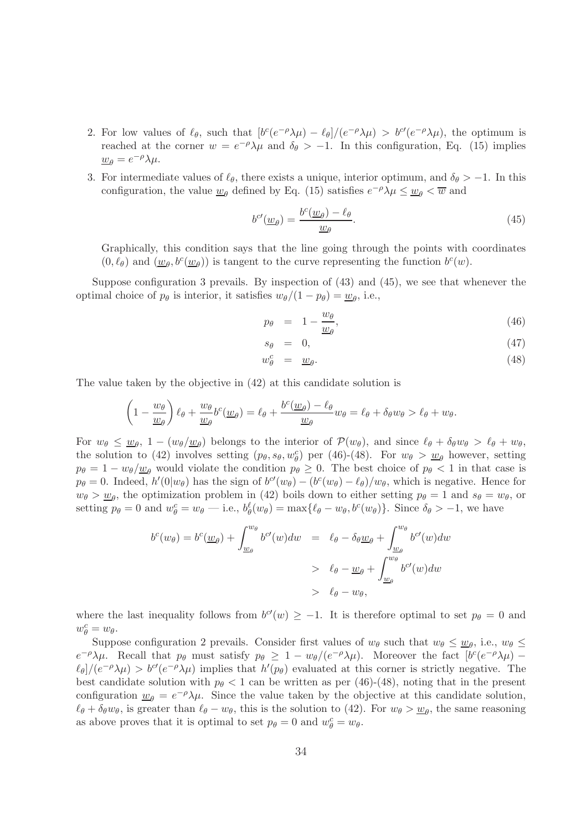- 2. For low values of  $\ell_{\theta}$ , such that  $[b^c(e^{-\rho}\lambda\mu) \ell_{\theta}]/(e^{-\rho}\lambda\mu) > b^{c\prime}(e^{-\rho}\lambda\mu)$ , the optimum is reached at the corner  $w = e^{-\rho}\lambda\mu$  and  $\delta\theta > -1$ . In this configuration, Eq. (15) implies  $\underline{w}_{\theta} = e^{-\rho} \lambda \mu.$
- 3. For intermediate values of  $\ell_{\theta}$ , there exists a unique, interior optimum, and  $\delta_{\theta} > -1$ . In this configuration, the value  $\underline{w}_{\theta}$  defined by Eq. (15) satisfies  $e^{-\rho}\lambda\mu \le \underline{w}_{\theta} < \overline{w}$  and

$$
b^{c\prime}(\underline{w}_{\theta}) = \frac{b^{c}(\underline{w}_{\theta}) - \ell_{\theta}}{\underline{w}_{\theta}}.
$$
\n(45)

Graphically, this condition says that the line going through the points with coordinates  $(0, \ell_{\theta})$  and  $(\underline{w}_{\theta}, b^c(\underline{w}_{\theta}))$  is tangent to the curve representing the function  $b^c(w)$ .

Suppose configuration 3 prevails. By inspection of (43) and (45), we see that whenever the optimal choice of  $p_{\theta}$  is interior, it satisfies  $w_{\theta}/(1-p_{\theta}) = \underline{w}_{\theta}$ , i.e.,

$$
p_{\theta} = 1 - \frac{w_{\theta}}{w_{\theta}},\tag{46}
$$

$$
s_{\theta} = 0, \tag{47}
$$

$$
w_{\theta}^{c} = \underline{w}_{\theta}.\tag{48}
$$

The value taken by the objective in (42) at this candidate solution is

$$
\left(1-\frac{w_{\theta}}{\underline{w}_{\theta}}\right)\ell_{\theta}+\frac{w_{\theta}}{\underline{w}_{\theta}}b^{c}(\underline{w}_{\theta})=\ell_{\theta}+\frac{b^{c}(\underline{w}_{\theta})-\ell_{\theta}}{\underline{w}_{\theta}}w_{\theta}=\ell_{\theta}+\delta_{\theta}w_{\theta}>\ell_{\theta}+w_{\theta}.
$$

For  $w_{\theta} \leq \underline{w}_{\theta}$ ,  $1 - (w_{\theta}/\underline{w}_{\theta})$  belongs to the interior of  $\mathcal{P}(w_{\theta})$ , and since  $\ell_{\theta} + \delta_{\theta}w_{\theta} > \ell_{\theta} + w_{\theta}$ , the solution to (42) involves setting  $(p_{\theta}, s_{\theta}, w_{\theta}^c)$  per (46)-(48). For  $w_{\theta} > w_{\theta}$  however, setting  $p_{\theta} = 1 - w_{\theta}/\underline{w}_{\theta}$  would violate the condition  $p_{\theta} \geq 0$ . The best choice of  $p_{\theta} < 1$  in that case is  $p_{\theta} = 0$ . Indeed,  $h'(0|w_{\theta})$  has the sign of  $b^{c'}(w_{\theta}) - (b^{c}(w_{\theta}) - \ell_{\theta})/w_{\theta}$ , which is negative. Hence for  $w_{\theta} > \underline{w}_{\theta}$ , the optimization problem in (42) boils down to either setting  $p_{\theta} = 1$  and  $s_{\theta} = w_{\theta}$ , or setting  $p_{\theta} = 0$  and  $w_{\theta}^c = w_{\theta} - i.e., b_{\theta}^{\ell}(w_{\theta}) = \max{\{\ell_{\theta} - w_{\theta}, b^c(w_{\theta})\}}$ . Since  $\delta_{\theta} > -1$ , we have

$$
b^{c}(w_{\theta}) = b^{c}(\underline{w}_{\theta}) + \int_{\underline{w}_{\theta}}^{w_{\theta}} b^{c'}(w) dw = \ell_{\theta} - \delta_{\theta} \underline{w}_{\theta} + \int_{\underline{w}_{\theta}}^{w_{\theta}} b^{c'}(w) dw
$$
  
>  $\ell_{\theta} - \underline{w}_{\theta} + \int_{\underline{w}_{\theta}}^{w_{\theta}} b^{c'}(w) dw$   
>  $\ell_{\theta} - w_{\theta},$ 

where the last inequality follows from  $b^{c'}(w) \ge -1$ . It is therefore optimal to set  $p_{\theta} = 0$  and  $w_{\theta}^c = w_{\theta}.$ 

Suppose configuration 2 prevails. Consider first values of  $w_{\theta}$  such that  $w_{\theta} \leq \underline{w}_{\theta}$ , i.e.,  $w_{\theta} \leq$  $e^{-\rho}\lambda\mu$ . Recall that  $p_{\theta}$  must satisfy  $p_{\theta} \geq 1 - w_{\theta}/(e^{-\rho}\lambda\mu)$ . Moreover the fact  $[b^{c}(e^{-\rho}\lambda\mu) - b^{c}(e^{-\rho}\lambda\mu)]$  $\ell_{\theta}/(e^{-\rho}\lambda\mu) > b^{c\prime}(e^{-\rho}\lambda\mu)$  implies that  $h'(p_{\theta})$  evaluated at this corner is strictly negative. The best candidate solution with  $p_\theta < 1$  can be written as per (46)-(48), noting that in the present configuration  $\underline{w}_{\theta} = e^{-\rho} \lambda \mu$ . Since the value taken by the objective at this candidate solution,  $\ell_{\theta} + \delta_{\theta} w_{\theta}$ , is greater than  $\ell_{\theta} - w_{\theta}$ , this is the solution to (42). For  $w_{\theta} > \underline{w}_{\theta}$ , the same reasoning as above proves that it is optimal to set  $p_{\theta} = 0$  and  $w_{\theta}^c = w_{\theta}$ .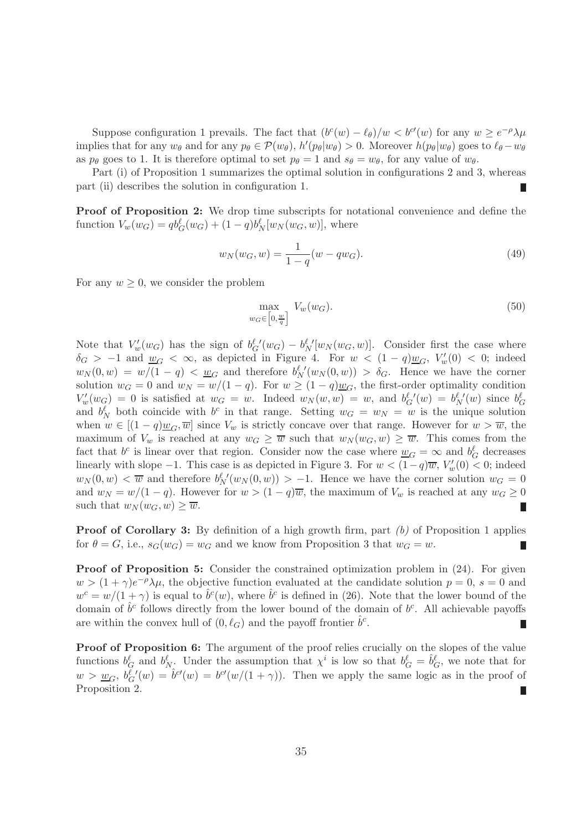Suppose configuration 1 prevails. The fact that  $(b^c(w) - \ell_{\theta})/w < b^{c'}(w)$  for any  $w \ge e^{-\rho} \lambda \mu$ implies that for any  $w_{\theta}$  and for any  $p_{\theta} \in \mathcal{P}(w_{\theta}), h'(p_{\theta}|w_{\theta}) > 0$ . Moreover  $h(p_{\theta}|w_{\theta})$  goes to  $\ell_{\theta} - w_{\theta}$ as  $p_{\theta}$  goes to 1. It is therefore optimal to set  $p_{\theta} = 1$  and  $s_{\theta} = w_{\theta}$ , for any value of  $w_{\theta}$ .

Part (i) of Proposition 1 summarizes the optimal solution in configurations 2 and 3, whereas part (ii) describes the solution in configuration 1.

Proof of Proposition 2: We drop time subscripts for notational convenience and define the function  $V_w(w_G) = qb_G^{\ell}(w_G) + (1-q)b_N^{\ell}[w_N(w_G, w)]$ , where

$$
w_N(w_G, w) = \frac{1}{1 - q}(w - qw_G). \tag{49}
$$

For any  $w \geq 0$ , we consider the problem

$$
\max_{w_G \in \left[0, \frac{w}{q}\right]} V_w(w_G). \tag{50}
$$

Note that  $V'_w(w_G)$  has the sign of  $b^{\ell'}_G(w_G) - b^{\ell'}_N[w_N(w_G, w)]$ . Consider first the case where  $\delta_G$  > -1 and  $\underline{w}_G$  <  $\infty$ , as depicted in Figure 4. For  $w$  <  $(1-q)\underline{w}_G$ ,  $V'_w(0)$  < 0; indeed  $w_N(0, w) = w/(1-q) < u_G$  and therefore  $b_N^{\ell'}(w_N(0, w)) > \delta_G$ . Hence we have the corner solution  $w_G = 0$  and  $w_N = w/(1 - q)$ . For  $w \ge (1 - q)w_G$ , the first-order optimality condition  $V'_w(w_G) = 0$  is satisfied at  $w_G = w$ . Indeed  $w_N(w, w) = w$ , and  $b_G^{\ell'}(w) = b_N^{\ell'}(w)$  since  $b_G^{\ell'}(w)$ and  $b_N^{\ell}$  both coincide with  $b^c$  in that range. Setting  $w_G = w_N = w$  is the unique solution when  $w \in [(1-q)\underline{w}_G, \overline{w}]$  since  $V_w$  is strictly concave over that range. However for  $w > \overline{w}$ , the maximum of  $V_w$  is reached at any  $w_G \geq \overline{w}$  such that  $w_N(w_G, w) \geq \overline{w}$ . This comes from the fact that  $b^c$  is linear over that region. Consider now the case where  $\underline{w}_G = \infty$  and  $b_G^{\ell}$  decreases linearly with slope -1. This case is as depicted in Figure 3. For  $w < (1-q)\overline{w}$ ,  $V_w'(0) < 0$ ; indeed  $w_N(0, w) < \overline{w}$  and therefore  $b_N^{\ell'}(w_N(0, w)) > -1$ . Hence we have the corner solution  $w_G = 0$ and  $w_N = w/(1-q)$ . However for  $w > (1-q)\overline{w}$ , the maximum of  $V_w$  is reached at any  $w_G \ge 0$ such that  $w_N (w_G, w) \geq \overline{w}$ . Г

Proof of Corollary 3: By definition of a high growth firm, part *(b)* of Proposition 1 applies for  $\theta = G$ , i.e.,  $s_G(w_G) = w_G$  and we know from Proposition 3 that  $w_G = w$ .

Proof of Proposition 5: Consider the constrained optimization problem in  $(24)$ . For given  $w > (1 + \gamma)e^{-\rho}\lambda\mu$ , the objective function evaluated at the candidate solution  $p = 0$ ,  $s = 0$  and  $w^c = w/(1+\gamma)$  is equal to  $\hat{b}^c(w)$ , where  $\hat{b}^c$  is defined in (26). Note that the lower bound of the domain of  $\hat{b}^c$  follows directly from the lower bound of the domain of  $b^c$ . All achievable payoffs are within the convex hull of  $(0, \ell_G)$  and the payoff frontier  $\hat{b}^c$ . Г

Proof of Proposition 6: The argument of the proof relies crucially on the slopes of the value functions  $b_G^{\ell}$  and  $b_N^{\ell}$ . Under the assumption that  $\chi^i$  is low so that  $b_G^{\ell} = \hat{b}_G^{\ell}$ , we note that for  $w > w_G$ ,  $b^{\ell}_{G}(w) = \hat{b}^{c\prime}(w) = b^{c\prime}(w/(1+\gamma))$ . Then we apply the same logic as in the proof of Proposition 2.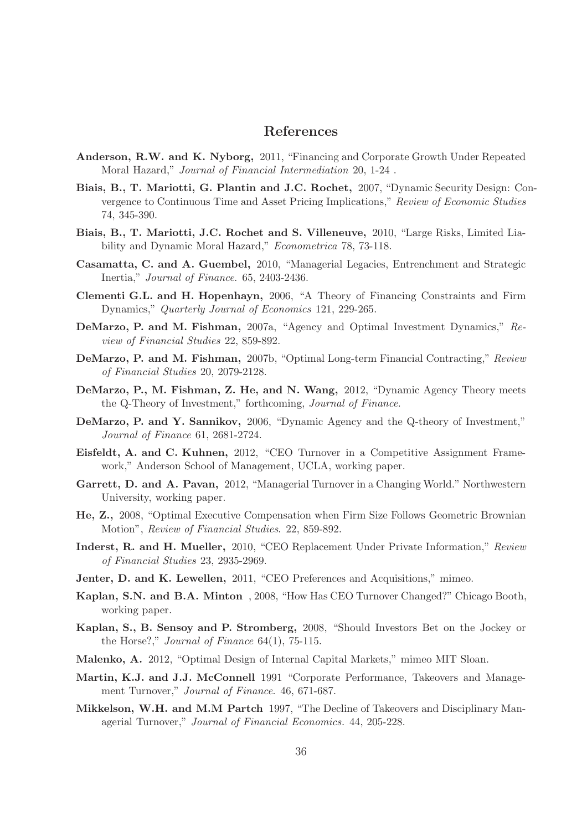## References

- Anderson, R.W. and K. Nyborg, 2011, "Financing and Corporate Growth Under Repeated Moral Hazard," *Journal of Financial Intermediation* 20, 1-24 .
- Biais, B., T. Mariotti, G. Plantin and J.C. Rochet, 2007, "Dynamic Security Design: Convergence to Continuous Time and Asset Pricing Implications," *Review of Economic Studies* 74, 345-390.
- Biais, B., T. Mariotti, J.C. Rochet and S. Villeneuve, 2010, "Large Risks, Limited Liability and Dynamic Moral Hazard," *Econometrica* 78, 73-118.
- Casamatta, C. and A. Guembel, 2010, "Managerial Legacies, Entrenchment and Strategic Inertia," *Journal of Finance*. 65, 2403-2436.
- Clementi G.L. and H. Hopenhayn, 2006, "A Theory of Financing Constraints and Firm Dynamics," *Quarterly Journal of Economics* 121, 229-265.
- DeMarzo, P. and M. Fishman, 2007a, "Agency and Optimal Investment Dynamics," *Review of Financial Studies* 22, 859-892.
- DeMarzo, P. and M. Fishman, 2007b, "Optimal Long-term Financial Contracting," *Review of Financial Studies* 20, 2079-2128.
- DeMarzo, P., M. Fishman, Z. He, and N. Wang, 2012, "Dynamic Agency Theory meets the Q-Theory of Investment," forthcoming, *Journal of Finance*.
- DeMarzo, P. and Y. Sannikov, 2006, "Dynamic Agency and the Q-theory of Investment," *Journal of Finance* 61, 2681-2724.
- Eisfeldt, A. and C. Kuhnen, 2012, "CEO Turnover in a Competitive Assignment Framework," Anderson School of Management, UCLA, working paper.
- Garrett, D. and A. Pavan, 2012, "Managerial Turnover in a Changing World." Northwestern University, working paper.
- He, Z., 2008, "Optimal Executive Compensation when Firm Size Follows Geometric Brownian Motion", *Review of Financial Studies*. 22, 859-892.
- Inderst, R. and H. Mueller, 2010, "CEO Replacement Under Private Information," *Review of Financial Studies* 23, 2935-2969.
- Jenter, D. and K. Lewellen, 2011, "CEO Preferences and Acquisitions," mimeo.
- Kaplan, S.N. and B.A. Minton , 2008, "How Has CEO Turnover Changed?" Chicago Booth, working paper.
- Kaplan, S., B. Sensoy and P. Stromberg, 2008, "Should Investors Bet on the Jockey or the Horse?," *Journal of Finance* 64(1), 75-115.
- Malenko, A. 2012, "Optimal Design of Internal Capital Markets," mimeo MIT Sloan.
- Martin, K.J. and J.J. McConnell 1991 "Corporate Performance, Takeovers and Management Turnover," *Journal of Finance*. 46, 671-687.
- Mikkelson, W.H. and M.M Partch 1997, "The Decline of Takeovers and Disciplinary Managerial Turnover," *Journal of Financial Economics.* 44, 205-228.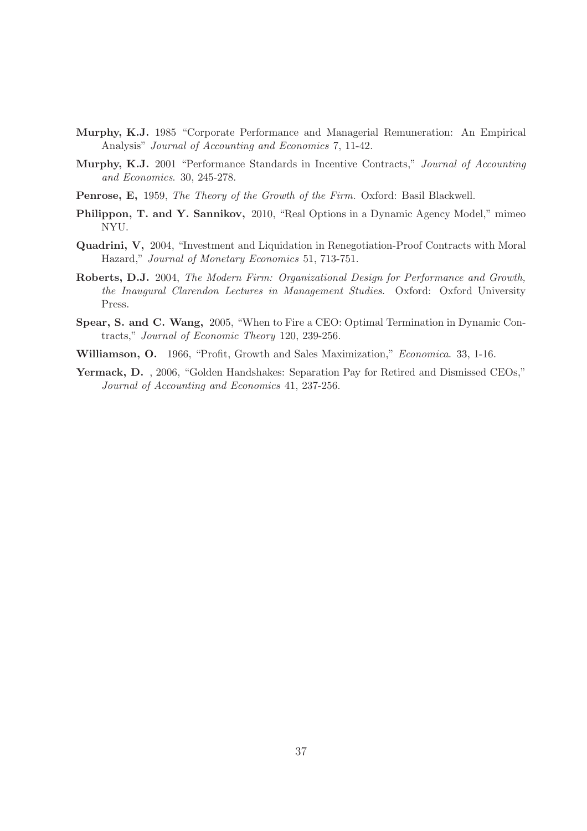- Murphy, K.J. 1985 "Corporate Performance and Managerial Remuneration: An Empirical Analysis" *Journal of Accounting and Economics* 7, 11-42.
- Murphy, K.J. 2001 "Performance Standards in Incentive Contracts," *Journal of Accounting and Economics*. 30, 245-278.
- Penrose, E, 1959, *The Theory of the Growth of the Firm.* Oxford: Basil Blackwell.
- Philippon, T. and Y. Sannikov, 2010, "Real Options in a Dynamic Agency Model," mimeo NYU.
- Quadrini, V, 2004, "Investment and Liquidation in Renegotiation-Proof Contracts with Moral Hazard," *Journal of Monetary Economics* 51, 713-751.
- Roberts, D.J. 2004, *The Modern Firm: Organizational Design for Performance and Growth, the Inaugural Clarendon Lectures in Management Studies*. Oxford: Oxford University Press.
- Spear, S. and C. Wang, 2005, "When to Fire a CEO: Optimal Termination in Dynamic Contracts," *Journal of Economic Theory* 120, 239-256.
- Williamson, O. 1966, "Profit, Growth and Sales Maximization," *Economica*. 33, 1-16.
- Yermack, D. , 2006, "Golden Handshakes: Separation Pay for Retired and Dismissed CEOs," *Journal of Accounting and Economics* 41, 237-256.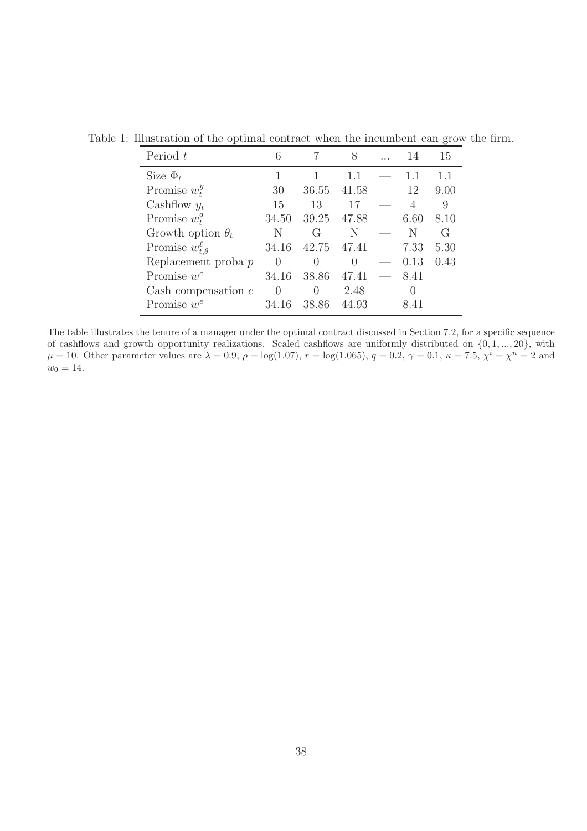| Period t                      | 6                |                | 8        |                          | 14   | 15               |
|-------------------------------|------------------|----------------|----------|--------------------------|------|------------------|
| Size $\Phi_t$                 |                  |                | 1.1      |                          |      | 1.1              |
| Promise $w_t^y$               | 30               | 36.55          | 41.58    |                          | 12   | 9.00             |
| Cashflow $y_t$                | 15               | 13             | 17       |                          |      | 9                |
| Promise $w_t^q$               | 34.50            | 39.25          | 47.88    | $\overline{\phantom{a}}$ | 6.60 | 8.10             |
| Growth option $\theta_t$      | N                | $\binom{1}{1}$ | N        |                          | N    | $\mathfrak{c}_1$ |
| Promise $w_{t,\theta}^{\ell}$ | 34.16            | 42.75          | 47.41    | $\overline{\phantom{a}}$ | 7.33 | 5.30             |
| Replacement proba p           | $\left( \right)$ | 0              | $\Omega$ | $\overline{\phantom{a}}$ | 0.13 | 0.43             |
| Promise $w^c$                 | 34.16            | 38.86          | 47.41    | $\overline{\phantom{m}}$ | 8.41 |                  |
| Cash compensation $c$         | $\theta$         | $\theta$       | 2.48     |                          |      |                  |
| Promise $w^e$                 | 34 16            | 38.86          | 44.93    |                          | 8.41 |                  |

Table 1: Illustration of the optimal contract when the incumbent can grow the firm.

The table illustrates the tenure of a manager under the optimal contract discussed in Section 7.2, for a specific sequence of cashflows and growth opportunity realizations. Scaled cashflows are uniformly distributed on {0, 1, ..., 20}, with  $\mu = 10$ . Other parameter values are  $\lambda = 0.9$ ,  $\rho = \log(1.07)$ ,  $r = \log(1.065)$ ,  $q = 0.2$ ,  $\gamma = 0.1$ ,  $\kappa = 7.5$ ,  $\chi^{i} = \chi^{n} = 2$  and  $w_0 = 14.$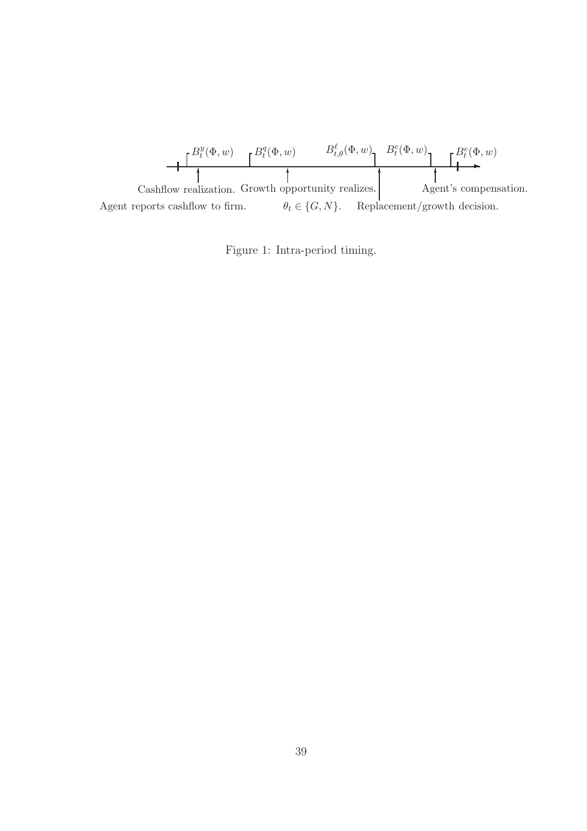

Figure 1: Intra-period timing.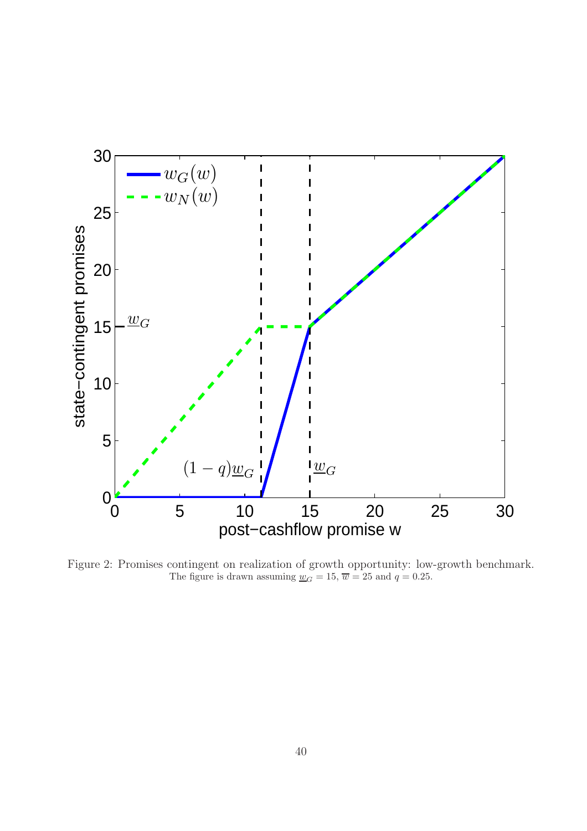

Figure 2: Promises contingent on realization of growth opportunity: low-growth benchmark. The figure is drawn assuming  $\underline{w}_G = 15$ ,  $\overline{w} = 25$  and  $q = 0.25$ .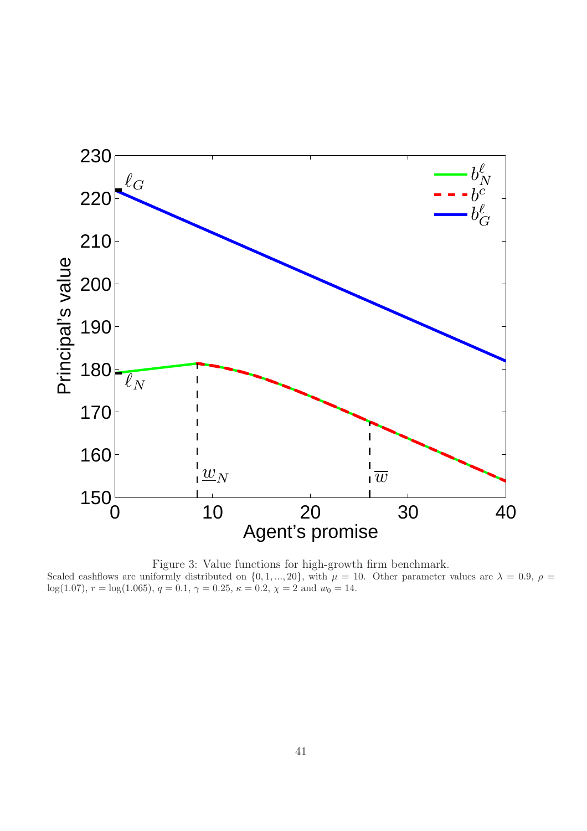

Figure 3: Value functions for high-growth firm benchmark. Scaled cashflows are uniformly distributed on  $\{0, 1, ..., 20\}$ , with  $\mu = 10$ . Other parameter values are  $\lambda = 0.9$ ,  $\rho =$ log(1.07),  $r = \log(1.065)$ ,  $q = 0.1$ ,  $\gamma = 0.25$ ,  $\kappa = 0.2$ ,  $\chi = 2$  and  $w_0 = 14$ .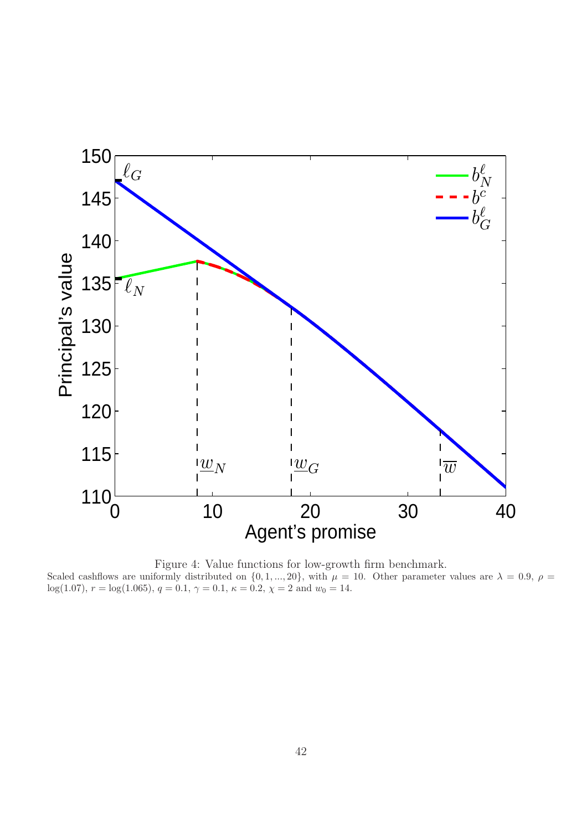



Scaled cashflows are uniformly distributed on  $\{0, 1, ..., 20\}$ , with  $\mu = 10$ . Other parameter values are  $\lambda = 0.9$ ,  $\rho =$ log(1.07),  $r = \log(1.065)$ ,  $q = 0.1$ ,  $\gamma = 0.1$ ,  $\kappa = 0.2$ ,  $\chi = 2$  and  $w_0 = 14$ .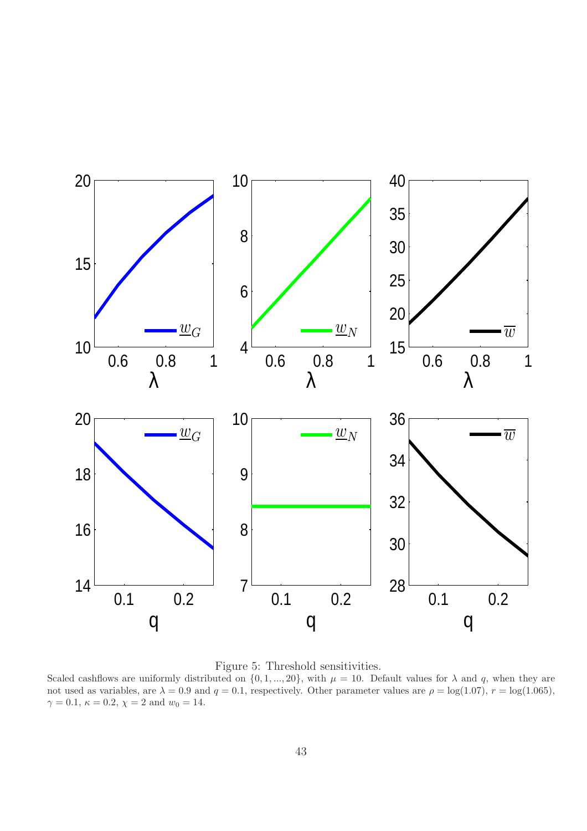

Figure 5: Threshold sensitivities.

Scaled cashflows are uniformly distributed on  $\{0, 1, ..., 20\}$ , with  $\mu = 10$ . Default values for  $\lambda$  and q, when they are not used as variables, are  $\lambda = 0.9$  and  $q = 0.1$ , respectively. Other parameter values are  $\rho = \log(1.07)$ ,  $r = \log(1.065)$ ,  $\gamma = 0.1, \, \kappa = 0.2, \, \chi = 2$  and  $w_0 = 14$ .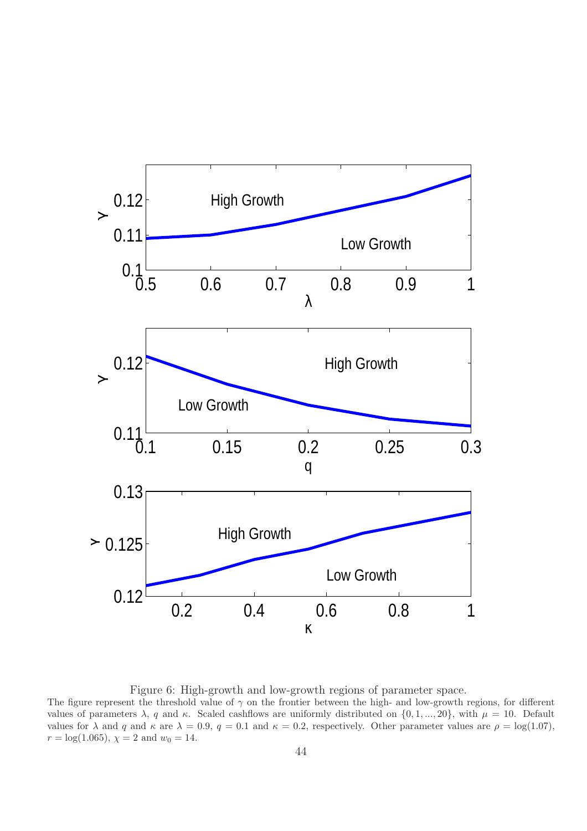

Figure 6: High-growth and low-growth regions of parameter space.

The figure represent the threshold value of  $\gamma$  on the frontier between the high- and low-growth regions, for different values of parameters  $\lambda$ , q and  $\kappa$ . Scaled cashflows are uniformly distributed on  $\{0, 1, ..., 20\}$ , with  $\mu = 10$ . Default values for  $\lambda$  and q and  $\kappa$  are  $\lambda = 0.9$ ,  $q = 0.1$  and  $\kappa = 0.2$ , respectively. Other parameter values are  $\rho = \log(1.07)$ ,  $r = \log(1.065), \chi = 2 \text{ and } w_0 = 14.$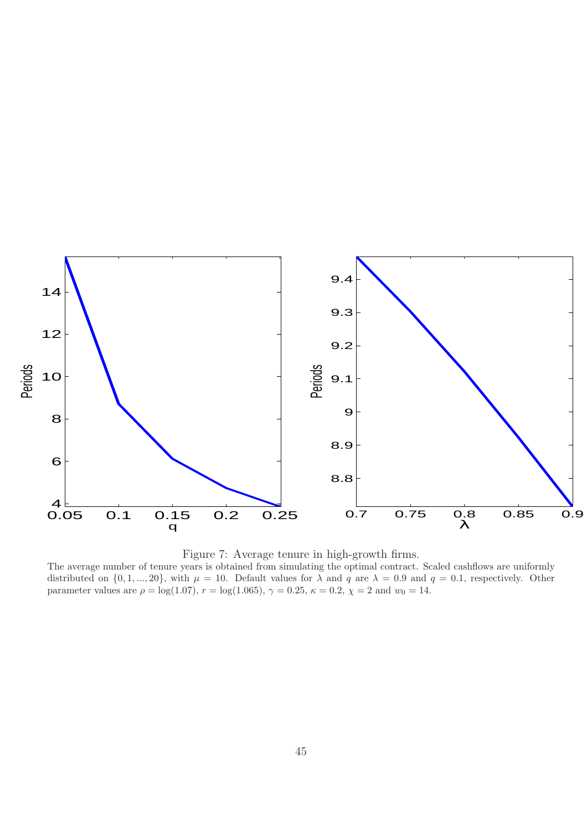



The average number of tenure years is obtained from simulating the optimal contract. Scaled cashflows are uniformly distributed on  $\{0, 1, ..., 20\}$ , with  $\mu = 10$ . Default values for  $\lambda$  and  $q$  are  $\lambda = 0.9$  and  $q = 0.1$ , respectively. Other parameter values are  $\rho = \log(1.07)$ ,  $r = \log(1.065)$ ,  $\gamma = 0.25$ ,  $\kappa = 0.2$ ,  $\chi = 2$  and  $w_0 = 14$ .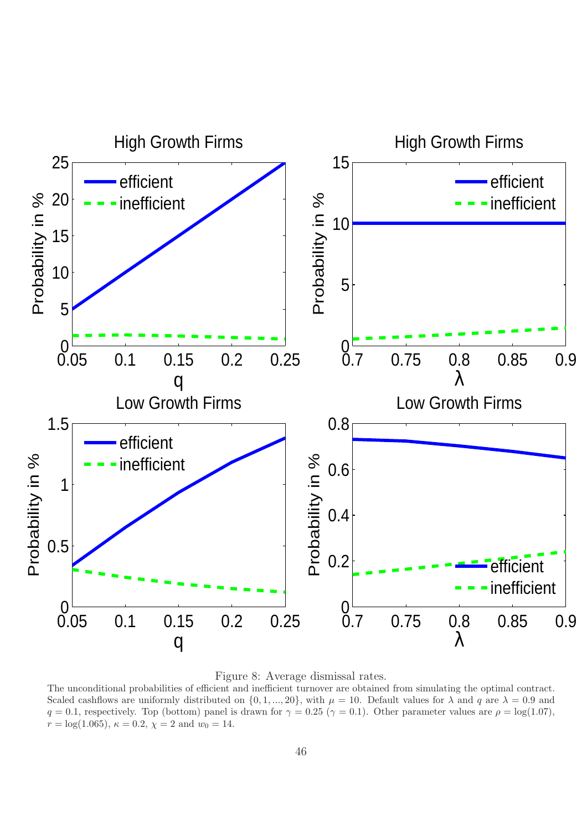

Figure 8: Average dismissal rates.

The unconditional probabilities of efficient and inefficient turnover are obtained from simulating the optimal contract. Scaled cashflows are uniformly distributed on  $\{0, 1, ..., 20\}$ , with  $\mu = 10$ . Default values for  $\lambda$  and q are  $\lambda = 0.9$  and  $q = 0.1$ , respectively. Top (bottom) panel is drawn for  $\gamma = 0.25$  ( $\gamma = 0.1$ ). Other parameter values are  $\rho = \log(1.07)$ ,  $r = \log(1.065)$ ,  $\kappa = 0.2$ ,  $\chi = 2$  and  $w_0 = 14$ .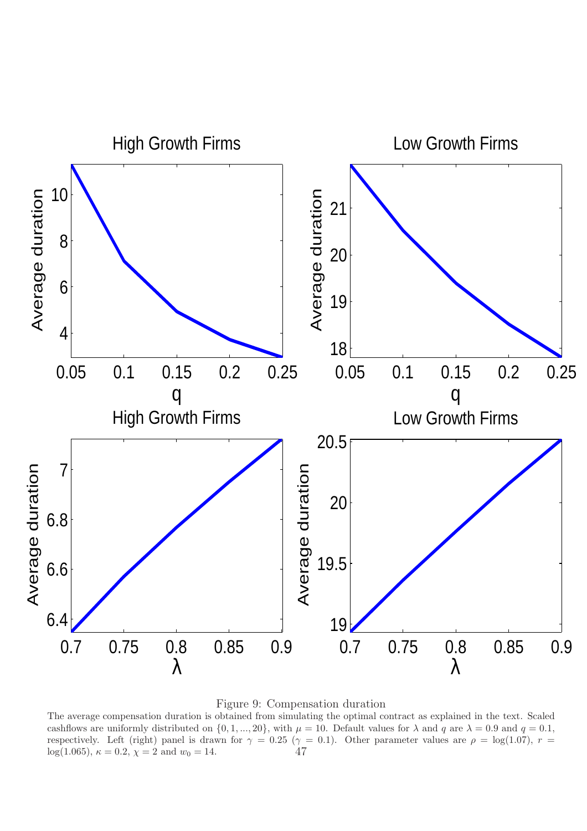



The average compensation duration is obtained from simulating the optimal contract as explained in the text. Scaled cashflows are uniformly distributed on  $\{0, 1, ..., 20\}$ , with  $\mu = 10$ . Default values for  $\lambda$  and q are  $\lambda = 0.9$  and  $q = 0.1$ , respectively. Left (right) panel is drawn for  $\gamma = 0.25$  ( $\gamma = 0.1$ ). Other parameter values are  $\rho = \log(1.07)$ ,  $r = \log(1.065)$ .  $\kappa = 0.2$ ,  $\gamma = 2$  and  $w_0 = 14$ . 47 log(1.065),  $\kappa = 0.2$ ,  $\chi = 2$  and  $w_0 = 14$ .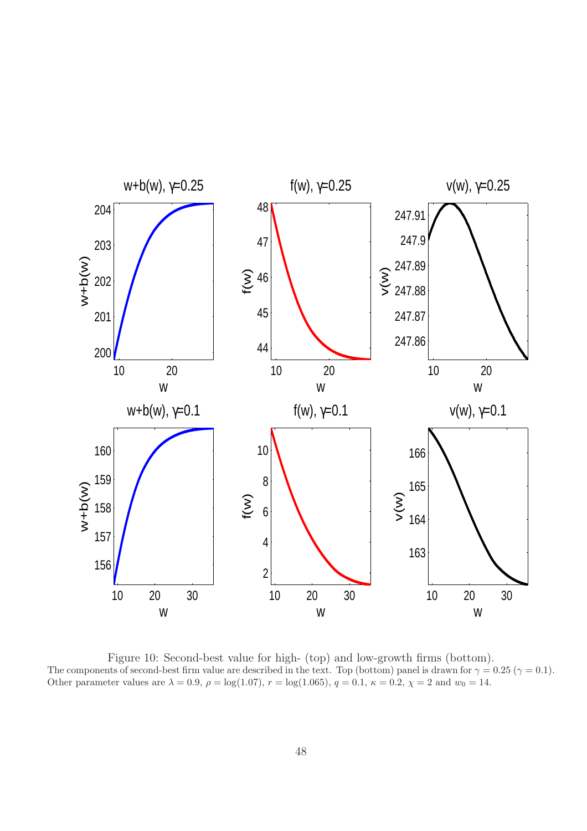

Figure 10: Second-best value for high- (top) and low-growth firms (bottom). The components of second-best firm value are described in the text. Top (bottom) panel is drawn for  $\gamma = 0.25$  ( $\gamma = 0.1$ ). Other parameter values are  $\lambda = 0.9$ ,  $\rho = \log(1.07)$ ,  $r = \log(1.065)$ ,  $q = 0.1$ ,  $\kappa = 0.2$ ,  $\chi = 2$  and  $w_0 = 14$ .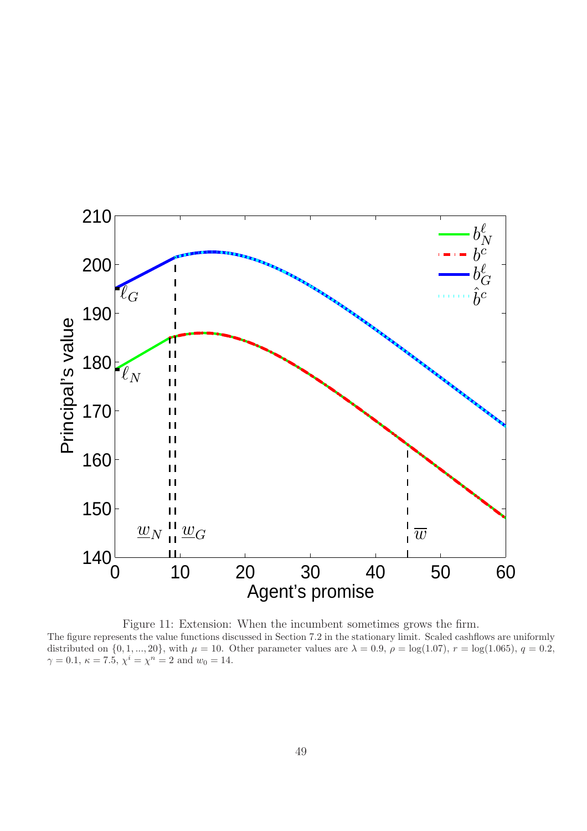

Figure 11: Extension: When the incumbent sometimes grows the firm. The figure represents the value functions discussed in Section 7.2 in the stationary limit. Scaled cashflows are uniformly distributed on  $\{0, 1, ..., 20\}$ , with  $\mu = 10$ . Other parameter values are  $\lambda = 0.9$ ,  $\rho = \log(1.07)$ ,  $r = \log(1.065)$ ,  $q = 0.2$ ,  $\gamma = 0.1, \, \kappa = 7.5, \, \chi^i = \chi^n = 2 \text{ and } w_0 = 14.$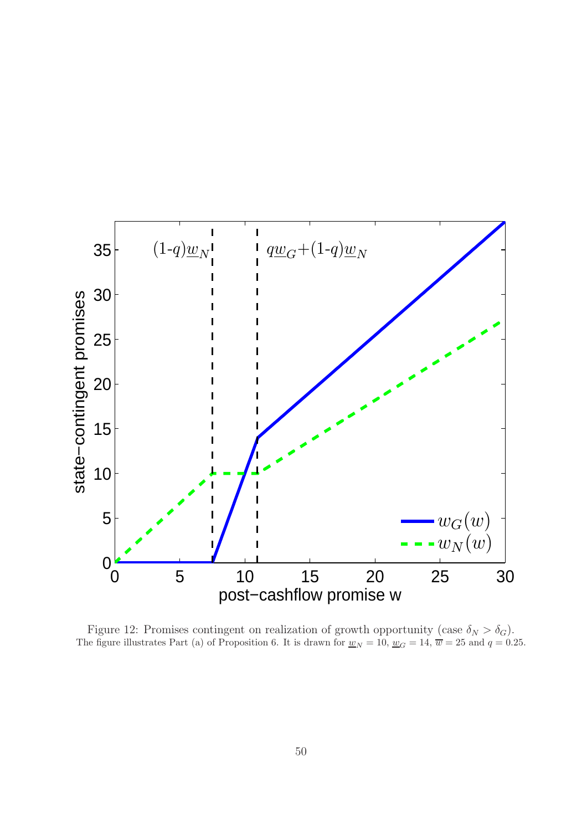

Figure 12: Promises contingent on realization of growth opportunity (case  $\delta_N > \delta_G$ ). The figure illustrates Part (a) of Proposition 6. It is drawn for  $\underline{w}_N = 10$ ,  $\underline{w}_G = 14$ ,  $\overline{w} = 25$  and  $q = 0.25$ .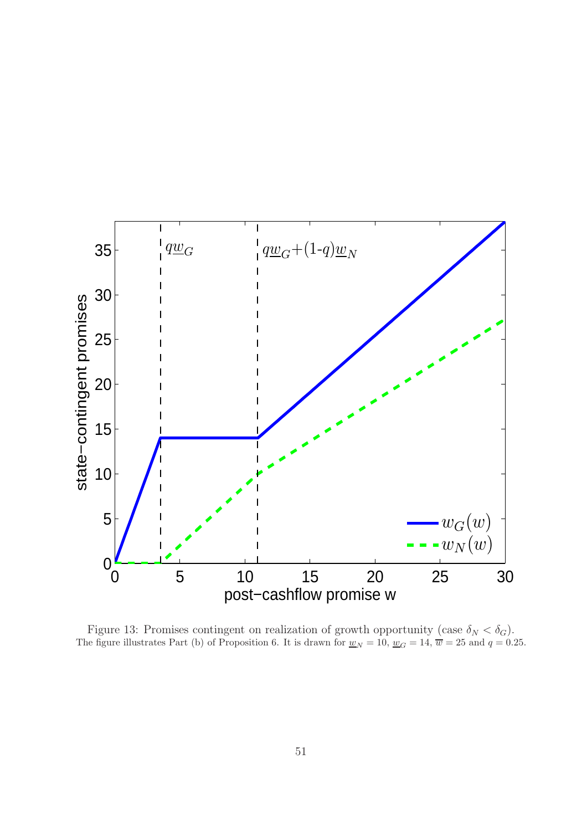

Figure 13: Promises contingent on realization of growth opportunity (case  $\delta_N < \delta_G$ ). The figure illustrates Part (b) of Proposition 6. It is drawn for  $\underline{w}_N = 10$ ,  $\underline{w}_G = 14$ ,  $\overline{w} = 25$  and  $q = 0.25$ .